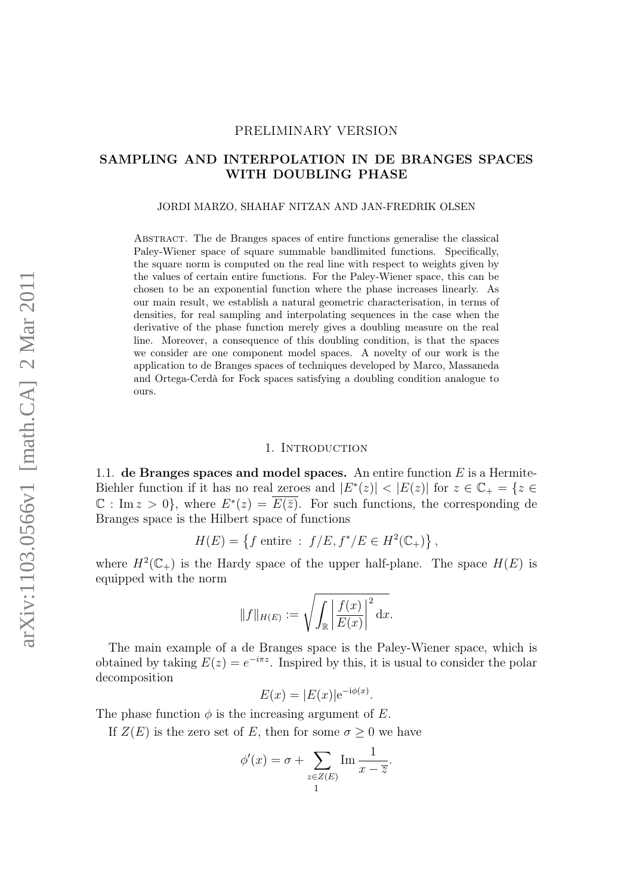### PRELIMINARY VERSION

# SAMPLING AND INTERPOLATION IN DE BRANGES SPACES WITH DOUBLING PHASE

#### JORDI MARZO, SHAHAF NITZAN AND JAN-FREDRIK OLSEN

Abstract. The de Branges spaces of entire functions generalise the classical Paley-Wiener space of square summable bandlimited functions. Specifically, the square norm is computed on the real line with respect to weights given by the values of certain entire functions. For the Paley-Wiener space, this can be chosen to be an exponential function where the phase increases linearly. As our main result, we establish a natural geometric characterisation, in terms of densities, for real sampling and interpolating sequences in the case when the derivative of the phase function merely gives a doubling measure on the real line. Moreover, a consequence of this doubling condition, is that the spaces we consider are one component model spaces. A novelty of our work is the application to de Branges spaces of techniques developed by Marco, Massaneda and Ortega-Cerdà for Fock spaces satisfying a doubling condition analogue to ours.

### 1. INTRODUCTION

1.1. de Branges spaces and model spaces. An entire function  $E$  is a Hermite-Biehler function if it has no real zeroes and  $|E^*(z)| < |E(z)|$  for  $z \in \mathbb{C}_+ = \{z \in \mathbb{C}_+ | z| \leq 1 \}$  $\mathbb{C}: \text{Im } z > 0$ , where  $E^*(z) = \overline{E(\bar{z})}$ . For such functions, the corresponding de Branges space is the Hilbert space of functions

$$
H(E) = \{ f \text{ entire} : f/E, f^*/E \in H^2(\mathbb{C}_+) \},
$$

where  $H^2(\mathbb{C}_+)$  is the Hardy space of the upper half-plane. The space  $H(E)$  is equipped with the norm

$$
||f||_{H(E)} := \sqrt{\int_{\mathbb{R}} \left| \frac{f(x)}{E(x)} \right|^2 dx}.
$$

The main example of a de Branges space is the Paley-Wiener space, which is obtained by taking  $E(z) = e^{-i\pi z}$ . Inspired by this, it is usual to consider the polar decomposition

$$
E(x) = |E(x)|e^{-i\phi(x)}.
$$

The phase function  $\phi$  is the increasing argument of E.

If  $Z(E)$  is the zero set of E, then for some  $\sigma \geq 0$  we have

$$
\phi'(x) = \sigma + \sum_{\substack{z \in Z(E) \\ 1}} \operatorname{Im} \frac{1}{x - \overline{z}}.
$$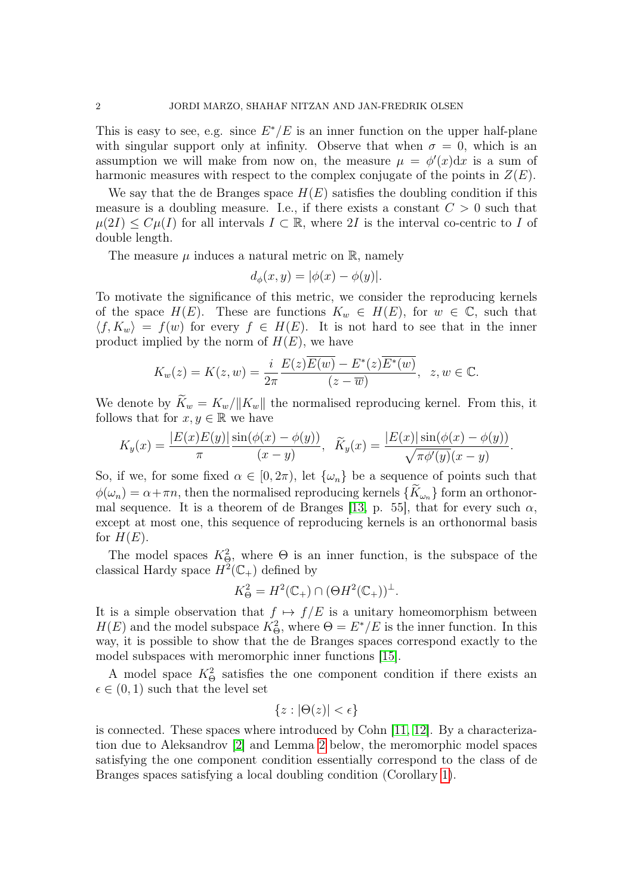This is easy to see, e.g. since  $E^*/E$  is an inner function on the upper half-plane with singular support only at infinity. Observe that when  $\sigma = 0$ , which is an assumption we will make from now on, the measure  $\mu = \phi'(x)dx$  is a sum of harmonic measures with respect to the complex conjugate of the points in  $Z(E)$ .

We say that the de Branges space  $H(E)$  satisfies the doubling condition if this measure is a doubling measure. I.e., if there exists a constant  $C > 0$  such that  $\mu(2I) \leq C\mu(I)$  for all intervals  $I \subset \mathbb{R}$ , where 2I is the interval co-centric to I of double length.

The measure  $\mu$  induces a natural metric on  $\mathbb{R}$ , namely

$$
d_{\phi}(x, y) = |\phi(x) - \phi(y)|.
$$

To motivate the significance of this metric, we consider the reproducing kernels of the space  $H(E)$ . These are functions  $K_w \in H(E)$ , for  $w \in \mathbb{C}$ , such that  $\langle f, K_w \rangle = f(w)$  for every  $f \in H(E)$ . It is not hard to see that in the inner product implied by the norm of  $H(E)$ , we have

$$
K_w(z) = K(z, w) = \frac{i}{2\pi} \frac{E(z)\overline{E(w)} - E^*(z)\overline{E^*(w)}}{(z - \overline{w})}, \ z, w \in \mathbb{C}.
$$

We denote by  $\widetilde{K}_w = K_w / ||K_w||$  the normalised reproducing kernel. From this, it follows that for  $x, y \in \mathbb{R}$  we have

$$
K_y(x) = \frac{|E(x)E(y)|}{\pi} \frac{\sin(\phi(x) - \phi(y))}{(x - y)}, \quad \widetilde{K}_y(x) = \frac{|E(x)|\sin(\phi(x) - \phi(y))}{\sqrt{\pi\phi'(y)}(x - y)}.
$$

So, if we, for some fixed  $\alpha \in [0, 2\pi)$ , let  $\{\omega_n\}$  be a sequence of points such that  $\phi(\omega_n) = \alpha + \pi n$ , then the normalised reproducing kernels  $\{K_{\omega_n}\}\$  form an orthonor-mal sequence. It is a theorem of de Branges [\[13,](#page-29-0) p. 55], that for every such  $\alpha$ , except at most one, this sequence of reproducing kernels is an orthonormal basis for  $H(E)$ .

The model spaces  $K^2_{\Theta}$ , where  $\Theta$  is an inner function, is the subspace of the classical Hardy space  $H^2(\mathbb{C}_+)$  defined by

$$
K_{\Theta}^2 = H^2(\mathbb{C}_+) \cap (\Theta H^2(\mathbb{C}_+))^{\perp}.
$$

It is a simple observation that  $f \mapsto f/E$  is a unitary homeomorphism between  $H(E)$  and the model subspace  $K^2_{\Theta}$ , where  $\Theta = E^*/E$  is the inner function. In this way, it is possible to show that the de Branges spaces correspond exactly to the model subspaces with meromorphic inner functions [\[15\]](#page-29-1).

A model space  $K^2_{\Theta}$  satisfies the one component condition if there exists an  $\epsilon \in (0, 1)$  such that the level set

$$
\{z : |\Theta(z)| < \epsilon\}
$$

is connected. These spaces where introduced by Cohn [\[11,](#page-29-2) [12\]](#page-29-3). By a characterization due to Aleksandrov [\[2\]](#page-29-4) and Lemma [2](#page-5-0) below, the meromorphic model spaces satisfying the one component condition essentially correspond to the class of de Branges spaces satisfying a local doubling condition (Corollary [1\)](#page-6-0).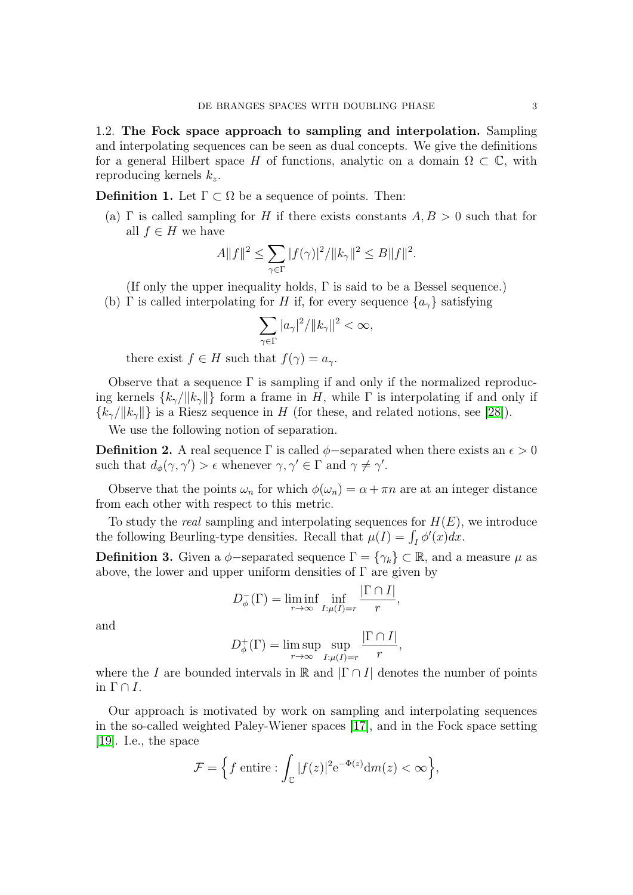1.2. The Fock space approach to sampling and interpolation. Sampling and interpolating sequences can be seen as dual concepts. We give the definitions for a general Hilbert space H of functions, analytic on a domain  $\Omega \subset \mathbb{C}$ , with reproducing kernels  $k_z$ .

**Definition 1.** Let  $\Gamma \subset \Omega$  be a sequence of points. Then:

(a)  $\Gamma$  is called sampling for H if there exists constants  $A, B > 0$  such that for all  $f \in H$  we have

$$
A||f||^2 \le \sum_{\gamma \in \Gamma} |f(\gamma)|^2 / ||k_\gamma||^2 \le B||f||^2.
$$

(If only the upper inequality holds, Γ is said to be a Bessel sequence.)

(b) Γ is called interpolating for H if, for every sequence  $\{a_{\gamma}\}\$  satisfying

$$
\sum_{\gamma \in \Gamma} |a_\gamma|^2 / ||k_\gamma||^2 < \infty,
$$

there exist  $f \in H$  such that  $f(\gamma) = a_{\gamma}$ .

Observe that a sequence  $\Gamma$  is sampling if and only if the normalized reproducing kernels  $\{k_{\gamma}/\|k_{\gamma}\|\}$  form a frame in H, while  $\Gamma$  is interpolating if and only if  ${k_{\gamma}}/||k_{\gamma}||$  is a Riesz sequence in H (for these, and related notions, see [\[28\]](#page-30-0)).

We use the following notion of separation.

**Definition 2.** A real sequence Γ is called  $\phi$ -separated when there exists an  $\epsilon > 0$ such that  $d_{\phi}(\gamma, \gamma') > \epsilon$  whenever  $\gamma, \gamma' \in \Gamma$  and  $\gamma \neq \gamma'$ .

Observe that the points  $\omega_n$  for which  $\phi(\omega_n) = \alpha + \pi n$  are at an integer distance from each other with respect to this metric.

To study the *real* sampling and interpolating sequences for  $H(E)$ , we introduce the following Beurling-type densities. Recall that  $\mu(I) = \int_I \phi'(x) dx$ .

**Definition 3.** Given a  $\phi$ -separated sequence  $\Gamma = {\gamma_k} \subset \mathbb{R}$ , and a measure  $\mu$  as above, the lower and upper uniform densities of  $\Gamma$  are given by

$$
D_{\phi}^{-}(\Gamma) = \liminf_{r \to \infty} \inf_{I:\mu(I)=r} \frac{|\Gamma \cap I|}{r},
$$

and

$$
D_{\phi}^{+}(\Gamma) = \limsup_{r \to \infty} \sup_{I:\mu(I)=r} \frac{|\Gamma \cap I|}{r},
$$

where the I are bounded intervals in R and  $|\Gamma \cap I|$  denotes the number of points in  $\Gamma \cap I$ .

Our approach is motivated by work on sampling and interpolating sequences in the so-called weighted Paley-Wiener spaces [\[17\]](#page-29-5), and in the Fock space setting [\[19\]](#page-29-6). I.e., the space

$$
\mathcal{F} = \left\{ f \text{ entire} : \int_{\mathbb{C}} |f(z)|^2 e^{-\Phi(z)} dm(z) < \infty \right\},\
$$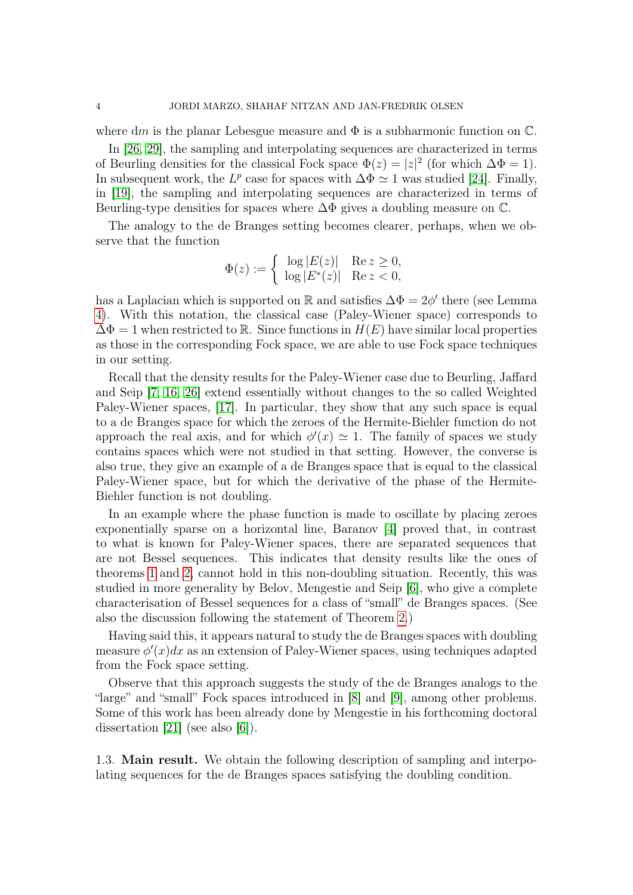where dm is the planar Lebesgue measure and  $\Phi$  is a subharmonic function on  $\mathbb{C}$ .

In [\[26,](#page-30-1) [29\]](#page-30-2), the sampling and interpolating sequences are characterized in terms of Beurling densities for the classical Fock space  $\Phi(z) = |z|^2$  (for which  $\Delta \Phi = 1$ ). In subsequent work, the  $L^p$  case for spaces with  $\Delta \Phi \simeq 1$  was studied [\[24\]](#page-30-3). Finally, in [\[19\]](#page-29-6), the sampling and interpolating sequences are characterized in terms of Beurling-type densities for spaces where  $\Delta\Phi$  gives a doubling measure on  $\mathbb{C}$ .

The analogy to the de Branges setting becomes clearer, perhaps, when we observe that the function

$$
\Phi(z) := \begin{cases} \log |E(z)| & \text{Re } z \ge 0, \\ \log |E^*(z)| & \text{Re } z < 0, \end{cases}
$$

has a Laplacian which is supported on R and satisfies  $\Delta \Phi = 2\phi'$  there (see Lemma [4\)](#page-7-0). With this notation, the classical case (Paley-Wiener space) corresponds to  $\Delta \Phi = 1$  when restricted to R. Since functions in  $H(E)$  have similar local properties as those in the corresponding Fock space, we are able to use Fock space techniques in our setting.

Recall that the density results for the Paley-Wiener case due to Beurling, Jaffard and Seip [\[7,](#page-29-7) [16,](#page-29-8) [26\]](#page-30-1) extend essentially without changes to the so called Weighted Paley-Wiener spaces, [\[17\]](#page-29-5). In particular, they show that any such space is equal to a de Branges space for which the zeroes of the Hermite-Biehler function do not approach the real axis, and for which  $\phi'(x) \simeq 1$ . The family of spaces we study contains spaces which were not studied in that setting. However, the converse is also true, they give an example of a de Branges space that is equal to the classical Paley-Wiener space, but for which the derivative of the phase of the Hermite-Biehler function is not doubling.

In an example where the phase function is made to oscillate by placing zeroes exponentially sparse on a horizontal line, Baranov [\[4\]](#page-29-9) proved that, in contrast to what is known for Paley-Wiener spaces, there are separated sequences that are not Bessel sequences. This indicates that density results like the ones of theorems [1](#page-4-0) and [2,](#page-4-1) cannot hold in this non-doubling situation. Recently, this was studied in more generality by Belov, Mengestie and Seip [\[6\]](#page-29-10), who give a complete characterisation of Bessel sequences for a class of "small" de Branges spaces. (See also the discussion following the statement of Theorem [2.](#page-4-1))

Having said this, it appears natural to study the de Branges spaces with doubling measure  $\phi'(x)dx$  as an extension of Paley-Wiener spaces, using techniques adapted from the Fock space setting.

Observe that this approach suggests the study of the de Branges analogs to the "large" and "small" Fock spaces introduced in [\[8\]](#page-29-11) and [\[9\]](#page-29-12), among other problems. Some of this work has been already done by Mengestie in his forthcoming doctoral dissertation [\[21\]](#page-29-13) (see also [\[6\]](#page-29-10)).

1.3. Main result. We obtain the following description of sampling and interpolating sequences for the de Branges spaces satisfying the doubling condition.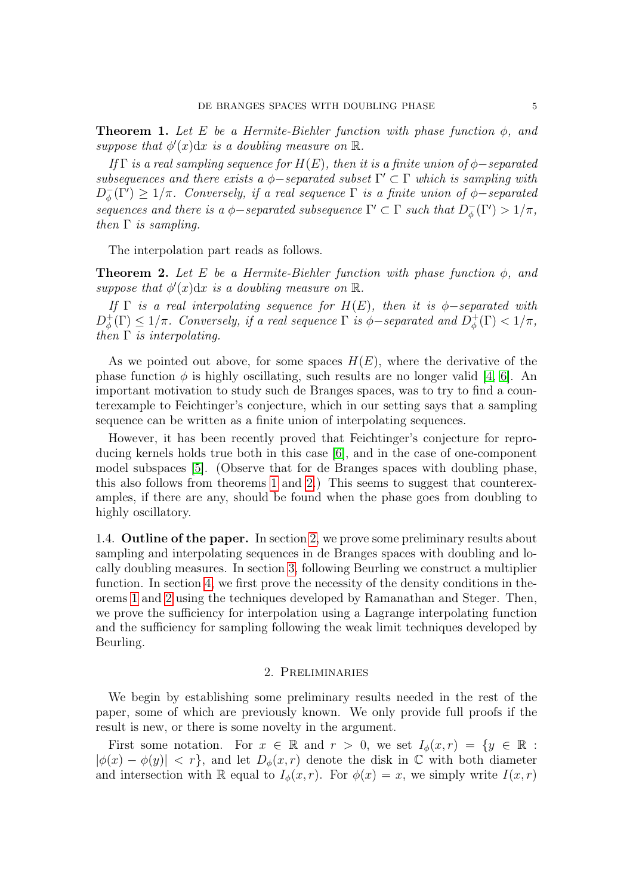<span id="page-4-0"></span>**Theorem 1.** Let E be a Hermite-Biehler function with phase function  $\phi$ , and suppose that  $\phi'(x)dx$  is a doubling measure on  $\mathbb R$ .

If Γ is a real sampling sequence for  $H(E)$ , then it is a finite union of  $\phi$ -separated subsequences and there exists a  $\phi$ -separated subset  $\Gamma' \subset \Gamma$  which is sampling with  $D_{\phi}^ \frac{1}{\phi}(\Gamma') \geq 1/\pi$ . Conversely, if a real sequence  $\Gamma$  is a finite union of  $\phi$ -separated sequences and there is a  $\phi$ -separated subsequence  $\Gamma' \subset \Gamma$  such that  $D_{\phi}^$  $q^-(\Gamma') > 1/\pi,$ then  $\Gamma$  is sampling.

The interpolation part reads as follows.

<span id="page-4-1"></span>**Theorem 2.** Let E be a Hermite-Biehler function with phase function  $\phi$ , and suppose that  $\phi'(x)dx$  is a doubling measure on  $\mathbb{R}$ .

If  $\Gamma$  is a real interpolating sequence for  $H(E)$ , then it is  $\phi$ -separated with  $D_{\phi}^+$  $\phi^+_{\phi}(\Gamma) \leq 1/\pi$ . Conversely, if a real sequence  $\Gamma$  is  $\phi$ -separated and  $D^+_{\phi}$  $\phi_{\phi}^{+}(\Gamma) < 1/\pi$ , then  $\Gamma$  is interpolating.

As we pointed out above, for some spaces  $H(E)$ , where the derivative of the phase function  $\phi$  is highly oscillating, such results are no longer valid [\[4,](#page-29-9) [6\]](#page-29-10). An important motivation to study such de Branges spaces, was to try to find a counterexample to Feichtinger's conjecture, which in our setting says that a sampling sequence can be written as a finite union of interpolating sequences.

However, it has been recently proved that Feichtinger's conjecture for reproducing kernels holds true both in this case [\[6\]](#page-29-10), and in the case of one-component model subspaces [\[5\]](#page-29-14). (Observe that for de Branges spaces with doubling phase, this also follows from theorems [1](#page-4-0) and [2.](#page-4-1)) This seems to suggest that counterexamples, if there are any, should be found when the phase goes from doubling to highly oscillatory.

1.4. Outline of the paper. In section [2,](#page-4-2) we prove some preliminary results about sampling and interpolating sequences in de Branges spaces with doubling and locally doubling measures. In section [3,](#page-13-0) following Beurling we construct a multiplier function. In section [4,](#page-20-0) we first prove the necessity of the density conditions in theorems [1](#page-4-0) and [2](#page-4-1) using the techniques developed by Ramanathan and Steger. Then, we prove the sufficiency for interpolation using a Lagrange interpolating function and the sufficiency for sampling following the weak limit techniques developed by Beurling.

### 2. Preliminaries

<span id="page-4-2"></span>We begin by establishing some preliminary results needed in the rest of the paper, some of which are previously known. We only provide full proofs if the result is new, or there is some novelty in the argument.

First some notation. For  $x \in \mathbb{R}$  and  $r > 0$ , we set  $I_{\phi}(x, r) = \{y \in \mathbb{R} :$  $|\phi(x) - \phi(y)| < r$ , and let  $D_{\phi}(x, r)$  denote the disk in C with both diameter and intersection with R equal to  $I_{\phi}(x, r)$ . For  $\phi(x) = x$ , we simply write  $I(x, r)$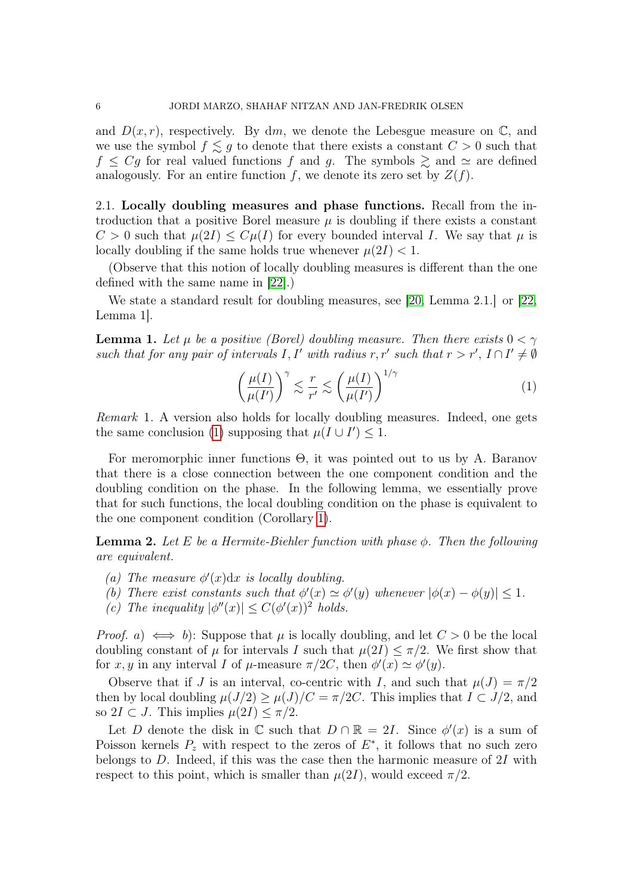and  $D(x, r)$ , respectively. By dm, we denote the Lebesgue measure on  $\mathbb{C}$ , and we use the symbol  $f \leq g$  to denote that there exists a constant  $C > 0$  such that  $f \leq Cg$  for real valued functions f and g. The symbols  $\gtrsim$  and  $\simeq$  are defined analogously. For an entire function f, we denote its zero set by  $Z(f)$ .

2.1. Locally doubling measures and phase functions. Recall from the introduction that a positive Borel measure  $\mu$  is doubling if there exists a constant  $C > 0$  such that  $\mu(2I) \leq C\mu(I)$  for every bounded interval I. We say that  $\mu$  is locally doubling if the same holds true whenever  $\mu(2I) < 1$ .

(Observe that this notion of locally doubling measures is different than the one defined with the same name in [\[22\]](#page-29-15).)

We state a standard result for doubling measures, see [\[20,](#page-29-16) Lemma 2.1.] or [\[22,](#page-29-15) Lemma 1].

<span id="page-5-2"></span>**Lemma 1.** Let  $\mu$  be a positive (Borel) doubling measure. Then there exists  $0 < \gamma$ such that for any pair of intervals I, I' with radius r, r' such that  $r > r'$ ,  $I \cap I' \neq \emptyset$ 

<span id="page-5-1"></span>
$$
\left(\frac{\mu(I)}{\mu(I')}\right)^{\gamma} \lesssim \frac{r}{r'} \lesssim \left(\frac{\mu(I)}{\mu(I')}\right)^{1/\gamma} \tag{1}
$$

Remark 1. A version also holds for locally doubling measures. Indeed, one gets the same conclusion [\(1\)](#page-5-1) supposing that  $\mu(I \cup I') \leq 1$ .

For meromorphic inner functions Θ, it was pointed out to us by A. Baranov that there is a close connection between the one component condition and the doubling condition on the phase. In the following lemma, we essentially prove that for such functions, the local doubling condition on the phase is equivalent to the one component condition (Corollary [1\)](#page-6-0).

<span id="page-5-0"></span>**Lemma 2.** Let E be a Hermite-Biehler function with phase  $\phi$ . Then the following are equivalent.

- (a) The measure  $\phi'(x)dx$  is locally doubling.
- (b) There exist constants such that  $\phi'(x) \simeq \phi'(y)$  whenever  $|\phi(x) \phi(y)| \leq 1$ .
- (c) The inequality  $|\phi''(x)| \leq C(\phi'(x))^2$  holds.

*Proof.* a)  $\iff$  b): Suppose that  $\mu$  is locally doubling, and let  $C > 0$  be the local doubling constant of  $\mu$  for intervals I such that  $\mu(2I) \leq \pi/2$ . We first show that for x, y in any interval I of  $\mu$ -measure  $\pi/2C$ , then  $\phi'(x) \simeq \phi'(y)$ .

Observe that if J is an interval, co-centric with I, and such that  $\mu(J) = \pi/2$ then by local doubling  $\mu(J/2) \geq \mu(J)/C = \pi/2C$ . This implies that  $I \subset J/2$ , and so  $2I \subset J$ . This implies  $\mu(2I) \leq \pi/2$ .

Let D denote the disk in  $\mathbb C$  such that  $D \cap \mathbb R = 2I$ . Since  $\phi'(x)$  is a sum of Poisson kernels  $P_z$  with respect to the zeros of  $E^*$ , it follows that no such zero belongs to  $D$ . Indeed, if this was the case then the harmonic measure of  $2I$  with respect to this point, which is smaller than  $\mu(2I)$ , would exceed  $\pi/2$ .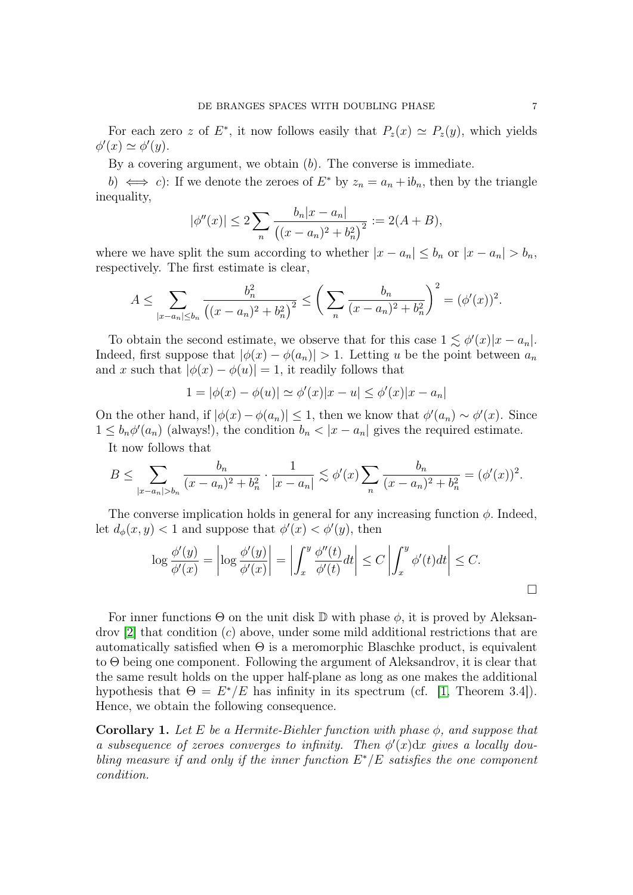For each zero z of  $E^*$ , it now follows easily that  $P_z(x) \simeq P_z(y)$ , which yields  $\phi'(x) \simeq \phi'(y).$ 

By a covering argument, we obtain  $(b)$ . The converse is immediate.

b)  $\iff$  c): If we denote the zeroes of  $E^*$  by  $z_n = a_n + ib_n$ , then by the triangle inequality,

$$
|\phi''(x)| \le 2\sum_{n} \frac{b_n|x - a_n|}{\left((x - a_n)^2 + b_n^2\right)^2} := 2(A + B),
$$

where we have split the sum according to whether  $|x - a_n| \leq b_n$  or  $|x - a_n| > b_n$ , respectively. The first estimate is clear,

$$
A \leq \sum_{|x-a_n| \leq b_n} \frac{b_n^2}{\left( (x-a_n)^2 + b_n^2 \right)^2} \leq \left( \sum_n \frac{b_n}{(x-a_n)^2 + b_n^2} \right)^2 = (\phi'(x))^2.
$$

To obtain the second estimate, we observe that for this case  $1 \lesssim \phi'(x)|x - a_n|$ . Indeed, first suppose that  $|\phi(x) - \phi(a_n)| > 1$ . Letting u be the point between  $a_n$ and x such that  $|\phi(x) - \phi(u)| = 1$ , it readily follows that

$$
1 = |\phi(x) - \phi(u)| \simeq \phi'(x)|x - u| \le \phi'(x)|x - a_n|
$$

On the other hand, if  $|\phi(x) - \phi(a_n)| \leq 1$ , then we know that  $\phi'(a_n) \sim \phi'(x)$ . Since  $1 \leq b_n \phi'(a_n)$  (always!), the condition  $b_n < |x - a_n|$  gives the required estimate. It now follows that

 $B \leq \sum$  $|x-a_n|>b_n$  $b_n$  $(x - a_n)^2 + b_n^2$  $\cdot \frac{1}{1}$  $|x - a_n|$  $\lesssim \phi'(x) \sum$ n  $b_n$  $(x - a_n)^2 + b_n^2$  $= (\phi'(x))^2.$ 

The converse implication holds in general for any increasing function  $\phi$ . Indeed, let  $d_{\phi}(x, y) < 1$  and suppose that  $\phi'(x) < \phi'(y)$ , then

$$
\log \frac{\phi'(y)}{\phi'(x)} = \left| \log \frac{\phi'(y)}{\phi'(x)} \right| = \left| \int_x^y \frac{\phi''(t)}{\phi'(t)} dt \right| \le C \left| \int_x^y \phi'(t) dt \right| \le C.
$$

For inner functions  $\Theta$  on the unit disk  $\mathbb D$  with phase  $\phi$ , it is proved by Aleksan $d$ rov [\[2\]](#page-29-4) that condition  $(c)$  above, under some mild additional restrictions that are automatically satisfied when  $\Theta$  is a meromorphic Blaschke product, is equivalent to Θ being one component. Following the argument of Aleksandrov, it is clear that the same result holds on the upper half-plane as long as one makes the additional hypothesis that  $\Theta = E^*/E$  has infinity in its spectrum (cf. [\[1,](#page-29-17) Theorem 3.4]). Hence, we obtain the following consequence.

<span id="page-6-0"></span>**Corollary 1.** Let E be a Hermite-Biehler function with phase  $\phi$ , and suppose that a subsequence of zeroes converges to infinity. Then  $\phi'(x)dx$  gives a locally doubling measure if and only if the inner function  $E^*/E$  satisfies the one component condition.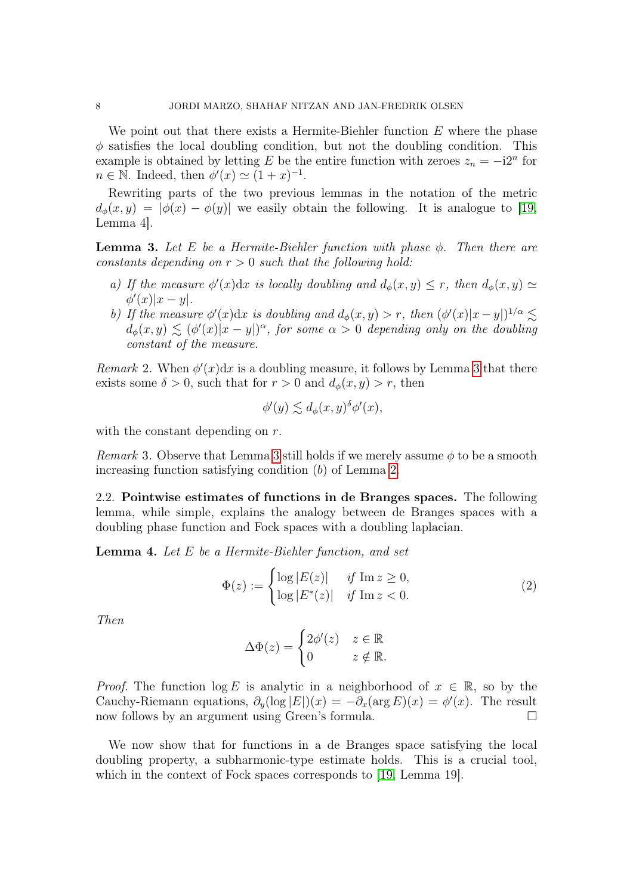We point out that there exists a Hermite-Biehler function  $E$  where the phase  $\phi$  satisfies the local doubling condition, but not the doubling condition. This example is obtained by letting E be the entire function with zeroes  $z_n = -i2^n$  for  $n \in \mathbb{N}$ . Indeed, then  $\phi'(x) \simeq (1+x)^{-1}$ .

Rewriting parts of the two previous lemmas in the notation of the metric  $d_{\phi}(x, y) = |\phi(x) - \phi(y)|$  we easily obtain the following. It is analogue to [\[19,](#page-29-6) Lemma 4].

<span id="page-7-1"></span>**Lemma 3.** Let E be a Hermite-Biehler function with phase  $\phi$ . Then there are constants depending on  $r > 0$  such that the following hold:

- a) If the measure  $\phi'(x)dx$  is locally doubling and  $d_{\phi}(x, y) \leq r$ , then  $d_{\phi}(x, y) \simeq$  $\phi'(x)|x-y|.$
- b) If the measure  $\phi'(x)dx$  is doubling and  $d_{\phi}(x, y) > r$ , then  $(\phi'(x)|x-y|)^{1/\alpha} \lesssim$  $d_{\phi}(x,y) \lesssim (\phi'(x)|x-y|)^{\alpha}$ , for some  $\alpha > 0$  depending only on the doubling constant of the measure.

<span id="page-7-3"></span>Remark 2. When  $\phi'(x)dx$  is a doubling measure, it follows by Lemma [3](#page-7-1) that there exists some  $\delta > 0$ , such that for  $r > 0$  and  $d_{\phi}(x, y) > r$ , then

$$
\phi'(y) \lesssim d_{\phi}(x, y)^{\delta} \phi'(x),
$$

with the constant depending on r.

<span id="page-7-4"></span>Remark [3](#page-7-1). Observe that Lemma 3 still holds if we merely assume  $\phi$  to be a smooth increasing function satisfying condition (b) of Lemma [2.](#page-5-0)

2.2. Pointwise estimates of functions in de Branges spaces. The following lemma, while simple, explains the analogy between de Branges spaces with a doubling phase function and Fock spaces with a doubling laplacian.

<span id="page-7-0"></span>**Lemma 4.** Let  $E$  be a Hermite-Biehler function, and set

<span id="page-7-2"></span>
$$
\Phi(z) := \begin{cases}\n\log |E(z)| & \text{if } \operatorname{Im} z \ge 0, \\
\log |E^*(z)| & \text{if } \operatorname{Im} z < 0.\n\end{cases}
$$
\n(2)

Then

$$
\Delta \Phi(z) = \begin{cases} 2\phi'(z) & z \in \mathbb{R} \\ 0 & z \notin \mathbb{R}. \end{cases}
$$

*Proof.* The function  $\log E$  is analytic in a neighborhood of  $x \in \mathbb{R}$ , so by the Cauchy-Riemann equations,  $\partial_y(\log |E|)(x) = -\partial_x(\arg E)(x) = \phi'(x)$ . The result now follows by an argument using Green's formula.

We now show that for functions in a de Branges space satisfying the local doubling property, a subharmonic-type estimate holds. This is a crucial tool, which in the context of Fock spaces corresponds to [\[19,](#page-29-6) Lemma 19].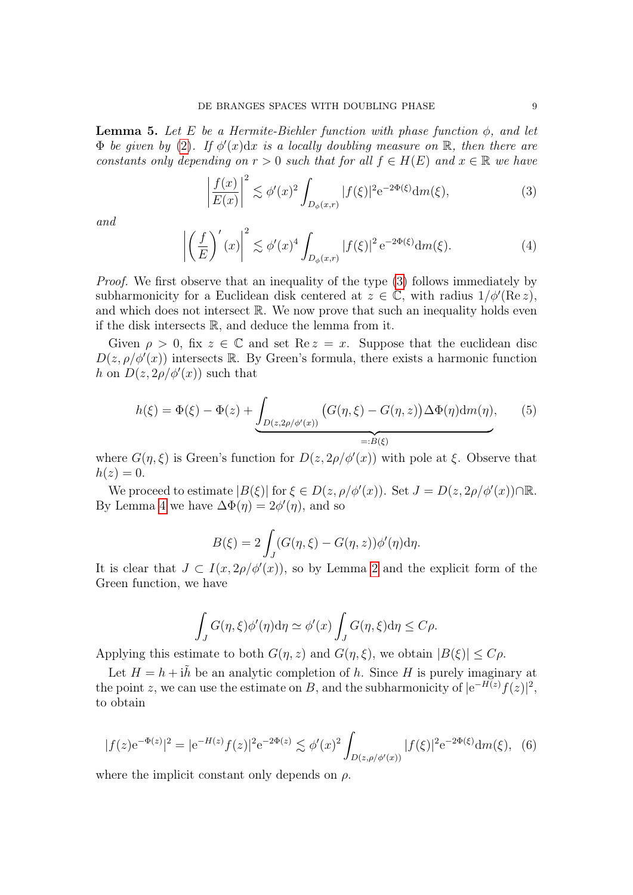<span id="page-8-3"></span>**Lemma 5.** Let E be a Hermite-Biehler function with phase function  $\phi$ , and let  $\Phi$  be given by [\(2\)](#page-7-2). If  $\phi'(x)dx$  is a locally doubling measure on  $\mathbb{R}$ , then there are constants only depending on  $r > 0$  such that for all  $f \in H(E)$  and  $x \in \mathbb{R}$  we have

<span id="page-8-0"></span>
$$
\left|\frac{f(x)}{E(x)}\right|^2 \lesssim \phi'(x)^2 \int_{D_{\phi}(x,r)} |f(\xi)|^2 e^{-2\Phi(\xi)} dm(\xi),\tag{3}
$$

and

<span id="page-8-1"></span>
$$
\left| \left( \frac{f}{E} \right)'(x) \right|^2 \lesssim \phi'(x)^4 \int_{D_{\phi}(x,r)} |f(\xi)|^2 e^{-2\Phi(\xi)} dm(\xi). \tag{4}
$$

Proof. We first observe that an inequality of the type [\(3\)](#page-8-0) follows immediately by subharmonicity for a Euclidean disk centered at  $z \in \mathbb{C}$ , with radius  $1/\phi'(\text{Re } z)$ , and which does not intersect  $\mathbb R$ . We now prove that such an inequality holds even if the disk intersects  $\mathbb{R}$ , and deduce the lemma from it.

Given  $\rho > 0$ , fix  $z \in \mathbb{C}$  and set Re  $z = x$ . Suppose that the euclidean disc  $D(z, \rho/\phi'(x))$  intersects R. By Green's formula, there exists a harmonic function h on  $D(z, 2\rho/\phi'(x))$  such that

$$
h(\xi) = \Phi(\xi) - \Phi(z) + \underbrace{\int_{D(z,2\rho/\phi'(x))} \left( G(\eta,\xi) - G(\eta,z) \right) \Delta \Phi(\eta) \mathrm{d}m(\eta)}_{=:B(\xi)},\tag{5}
$$

where  $G(\eta, \xi)$  is Green's function for  $D(z, 2\rho/\phi'(x))$  with pole at  $\xi$ . Observe that  $h(z)=0.$ 

We proceed to estimate  $|B(\xi)|$  for  $\xi \in D(z, \rho/\phi'(x))$ . Set  $J = D(z, 2\rho/\phi'(x)) \cap \mathbb{R}$ . By Lemma [4](#page-7-0) we have  $\Delta\Phi(\eta) = 2\phi'(\eta)$ , and so

$$
B(\xi) = 2 \int_J (G(\eta, \xi) - G(\eta, z)) \phi'(\eta) d\eta.
$$

It is clear that  $J \subset I(x, 2\rho/\phi'(x))$  $J \subset I(x, 2\rho/\phi'(x))$  $J \subset I(x, 2\rho/\phi'(x))$ , so by Lemma 2 and the explicit form of the Green function, we have

$$
\int_J G(\eta,\xi)\phi'(\eta) d\eta \simeq \phi'(x) \int_J G(\eta,\xi) d\eta \leq C\rho.
$$

Applying this estimate to both  $G(\eta, z)$  and  $G(\eta, \xi)$ , we obtain  $|B(\xi)| \leq C \rho$ .

Let  $H = h + i\tilde{h}$  be an analytic completion of h. Since H is purely imaginary at the point z, we can use the estimate on B, and the subharmonicity of  $|e^{-H(z)}f(z)|^2$ , to obtain

<span id="page-8-2"></span>
$$
|f(z)e^{-\Phi(z)}|^2 = |e^{-H(z)}f(z)|^2 e^{-2\Phi(z)} \lesssim \phi'(x)^2 \int_{D(z,\rho/\phi'(x))} |f(\xi)|^2 e^{-2\Phi(\xi)} dm(\xi), \tag{6}
$$

where the implicit constant only depends on  $\rho$ .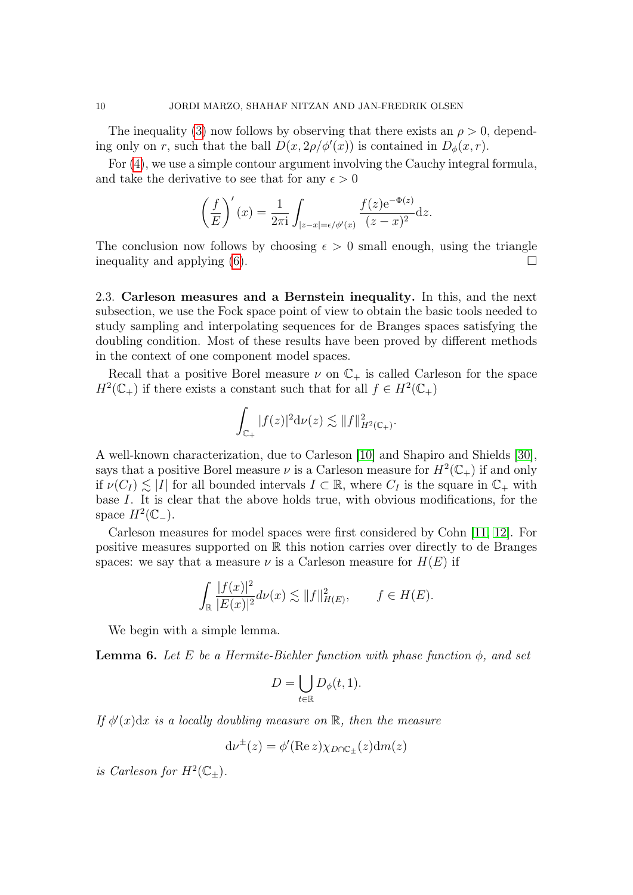The inequality [\(3\)](#page-8-0) now follows by observing that there exists an  $\rho > 0$ , depending only on r, such that the ball  $D(x, 2\rho/\phi'(x))$  is contained in  $D_{\phi}(x, r)$ .

For [\(4\)](#page-8-1), we use a simple contour argument involving the Cauchy integral formula, and take the derivative to see that for any  $\epsilon > 0$ 

$$
\left(\frac{f}{E}\right)'(x) = \frac{1}{2\pi i} \int_{|z-x| = \epsilon/\phi'(x)} \frac{f(z)e^{-\Phi(z)}}{(z-x)^2} dz.
$$

The conclusion now follows by choosing  $\epsilon > 0$  small enough, using the triangle inequality and applying  $(6)$ .

2.3. Carleson measures and a Bernstein inequality. In this, and the next subsection, we use the Fock space point of view to obtain the basic tools needed to study sampling and interpolating sequences for de Branges spaces satisfying the doubling condition. Most of these results have been proved by different methods in the context of one component model spaces.

Recall that a positive Borel measure  $\nu$  on  $\mathbb{C}_+$  is called Carleson for the space  $H^2(\mathbb{C}_+)$  if there exists a constant such that for all  $f \in H^2(\mathbb{C}_+)$ 

$$
\int_{\mathbb{C}_+} |f(z)|^2 \mathrm{d}\nu(z) \lesssim \|f\|_{H^2(\mathbb{C}_+)}^2.
$$

A well-known characterization, due to Carleson [\[10\]](#page-29-18) and Shapiro and Shields [\[30\]](#page-30-4), says that a positive Borel measure  $\nu$  is a Carleson measure for  $H^2(\mathbb{C}_+)$  if and only if  $\nu(C_I) \leq |I|$  for all bounded intervals  $I \subset \mathbb{R}$ , where  $C_I$  is the square in  $\mathbb{C}_+$  with base I. It is clear that the above holds true, with obvious modifications, for the space  $H^2(\mathbb{C}_-)$ .

Carleson measures for model spaces were first considered by Cohn [\[11,](#page-29-2) [12\]](#page-29-3). For positive measures supported on R this notion carries over directly to de Branges spaces: we say that a measure  $\nu$  is a Carleson measure for  $H(E)$  if

$$
\int_{\mathbb{R}} \frac{|f(x)|^2}{|E(x)|^2} d\nu(x) \lesssim ||f||_{H(E)}^2, \qquad f \in H(E).
$$

We begin with a simple lemma.

<span id="page-9-0"></span>**Lemma 6.** Let E be a Hermite-Biehler function with phase function  $\phi$ , and set

$$
D = \bigcup_{t \in \mathbb{R}} D_{\phi}(t, 1).
$$

If  $\phi'(x)dx$  is a locally doubling measure on  $\mathbb{R}$ , then the measure

$$
d\nu^{\pm}(z) = \phi'(\text{Re } z) \chi_{D \cap \mathbb{C}_{\pm}}(z) dm(z)
$$

is Carleson for  $H^2(\mathbb{C}_{\pm}).$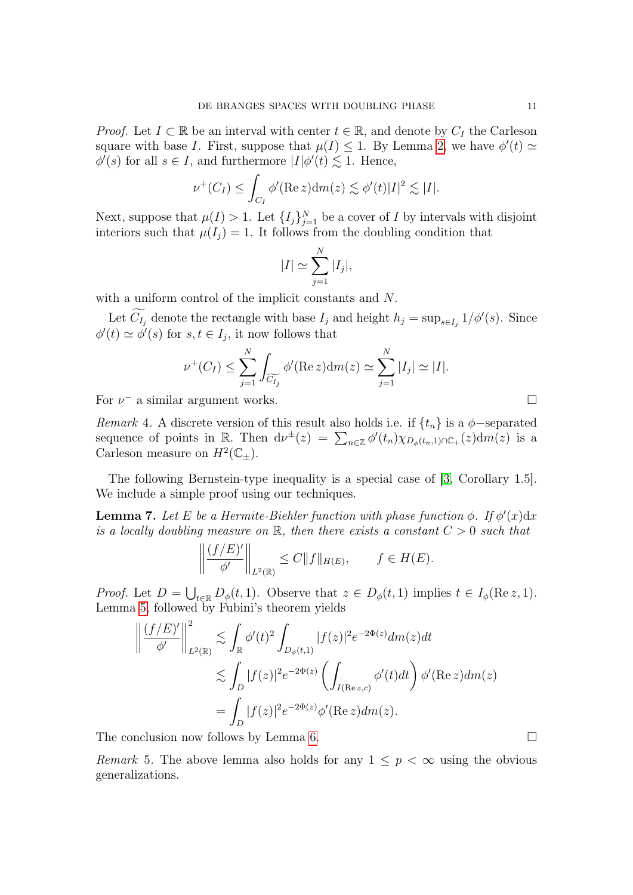*Proof.* Let  $I \subset \mathbb{R}$  be an interval with center  $t \in \mathbb{R}$ , and denote by  $C_I$  the Carleson square with base I. First, suppose that  $\mu(I) \leq 1$ . By Lemma [2,](#page-5-0) we have  $\phi'(t) \simeq$  $\phi'(s)$  for all  $s \in I$ , and furthermore  $|I|\phi'(t) \lesssim 1$ . Hence,

$$
\nu^+(C_I) \leq \int_{C_I} \phi'(\text{Re}\,z) \, \mathrm{d}m(z) \lesssim \phi'(t)|I|^2 \lesssim |I|.
$$

Next, suppose that  $\mu(I) > 1$ . Let  $\{I_j\}_{j=1}^N$  be a cover of I by intervals with disjoint interiors such that  $\mu(I_i) = 1$ . It follows from the doubling condition that

$$
|I| \simeq \sum_{j=1}^{N} |I_j|,
$$

with a uniform control of the implicit constants and N.

Let  $C_{I_j}$  denote the rectangle with base  $I_j$  and height  $h_j = \sup_{s \in I_j} 1/\phi'(s)$ . Since  $\phi'(t) \simeq \phi'(s)$  for  $s, t \in I_j$ , it now follows that

$$
\nu^+(C_I) \le \sum_{j=1}^N \int_{\widetilde{C_{I_j}}} \phi'(\text{Re}\,z) \, \text{d}m(z) \simeq \sum_{j=1}^N |I_j| \simeq |I|.
$$

For  $\nu^-$  a similar argument works.

<span id="page-10-1"></span>Remark 4. A discrete version of this result also holds i.e. if  $\{t_n\}$  is a  $\phi$ -separated sequence of points in R. Then  $d\nu^{\pm}(z) = \sum_{n \in \mathbb{Z}} \phi'(t_n) \chi_{D_{\phi}(t_n,1) \cap \mathbb{C}_+}(z) dm(z)$  is a Carleson measure on  $H^2(\mathbb{C}_{\pm}).$ 

The following Bernstein-type inequality is a special case of [\[3,](#page-29-19) Corollary 1.5]. We include a simple proof using our techniques.

<span id="page-10-0"></span>**Lemma 7.** Let E be a Hermite-Biehler function with phase function  $\phi$ . If  $\phi'(x)dx$ is a locally doubling measure on  $\mathbb R$ , then there exists a constant  $C > 0$  such that

$$
\left\| \frac{(f/E)'}{\phi'} \right\|_{L^2(\mathbb{R})} \le C \|f\|_{H(E)}, \qquad f \in H(E).
$$

*Proof.* Let  $D = \bigcup_{t \in \mathbb{R}} D_{\phi}(t, 1)$ . Observe that  $z \in D_{\phi}(t, 1)$  implies  $t \in I_{\phi}(\text{Re } z, 1)$ . Lemma [5,](#page-8-3) followed by Fubini's theorem yields

$$
\left\| \frac{(f/E)'}{\phi'} \right\|_{L^2(\mathbb{R})}^2 \lesssim \int_{\mathbb{R}} \phi'(t)^2 \int_{D_{\phi}(t,1)} |f(z)|^2 e^{-2\Phi(z)} dm(z) dt
$$
  

$$
\lesssim \int_{D} |f(z)|^2 e^{-2\Phi(z)} \left( \int_{I(\text{Re } z,c)} \phi'(t) dt \right) \phi'(\text{Re } z) dm(z)
$$
  

$$
= \int_{D} |f(z)|^2 e^{-2\Phi(z)} \phi'(\text{Re } z) dm(z).
$$

The conclusion now follows by Lemma [6.](#page-9-0)

*Remark* 5. The above lemma also holds for any  $1 \leq p < \infty$  using the obvious generalizations.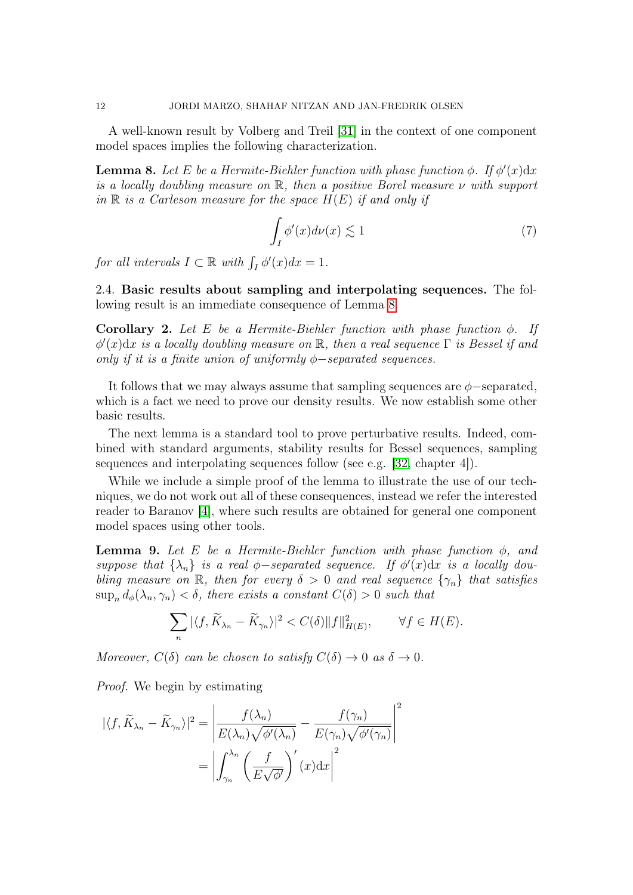A well-known result by Volberg and Treil [\[31\]](#page-30-5) in the context of one component model spaces implies the following characterization.

<span id="page-11-0"></span>**Lemma 8.** Let E be a Hermite-Biehler function with phase function  $\phi$ . If  $\phi'(x)dx$ is a locally doubling measure on  $\mathbb{R}$ , then a positive Borel measure  $\nu$  with support in  $\mathbb R$  is a Carleson measure for the space  $H(E)$  if and only if

$$
\int_{I} \phi'(x) d\nu(x) \lesssim 1\tag{7}
$$

for all intervals  $I \subset \mathbb{R}$  with  $\int_I \phi'(x) dx = 1$ .

2.4. Basic results about sampling and interpolating sequences. The following result is an immediate consequence of Lemma [8.](#page-11-0)

<span id="page-11-2"></span>Corollary 2. Let E be a Hermite-Biehler function with phase function  $\phi$ . If  $\phi'(x)dx$  is a locally doubling measure on R, then a real sequence  $\Gamma$  is Bessel if and only if it is a finite union of uniformly  $\phi$ -separated sequences.

It follows that we may always assume that sampling sequences are  $\phi$ -separated, which is a fact we need to prove our density results. We now establish some other basic results.

The next lemma is a standard tool to prove perturbative results. Indeed, combined with standard arguments, stability results for Bessel sequences, sampling sequences and interpolating sequences follow (see e.g. [\[32,](#page-30-6) chapter 4]).

While we include a simple proof of the lemma to illustrate the use of our techniques, we do not work out all of these consequences, instead we refer the interested reader to Baranov [\[4\]](#page-29-9), where such results are obtained for general one component model spaces using other tools.

<span id="page-11-1"></span>**Lemma 9.** Let E be a Hermite-Biehler function with phase function  $\phi$ , and suppose that  $\{\lambda_n\}$  is a real  $\phi$ -separated sequence. If  $\phi'(x)dx$  is a locally doubling measure on R, then for every  $\delta > 0$  and real sequence  $\{\gamma_n\}$  that satisfies  $\sup_n d_\phi(\lambda_n, \gamma_n) < \delta$ , there exists a constant  $C(\delta) > 0$  such that

$$
\sum_{n} |\langle f, \widetilde{K}_{\lambda_n} - \widetilde{K}_{\gamma_n} \rangle|^2 < C(\delta) \|f\|_{H(E)}^2, \qquad \forall f \in H(E).
$$

Moreover,  $C(\delta)$  can be chosen to satisfy  $C(\delta) \to 0$  as  $\delta \to 0$ .

Proof. We begin by estimating

$$
|\langle f, \widetilde{K}_{\lambda_n} - \widetilde{K}_{\gamma_n} \rangle|^2 = \left| \frac{f(\lambda_n)}{E(\lambda_n)\sqrt{\phi'(\lambda_n)}} - \frac{f(\gamma_n)}{E(\gamma_n)\sqrt{\phi'(\gamma_n)}} \right|^2
$$

$$
= \left| \int_{\gamma_n}^{\lambda_n} \left( \frac{f}{E\sqrt{\phi'}} \right)'(x) dx \right|^2
$$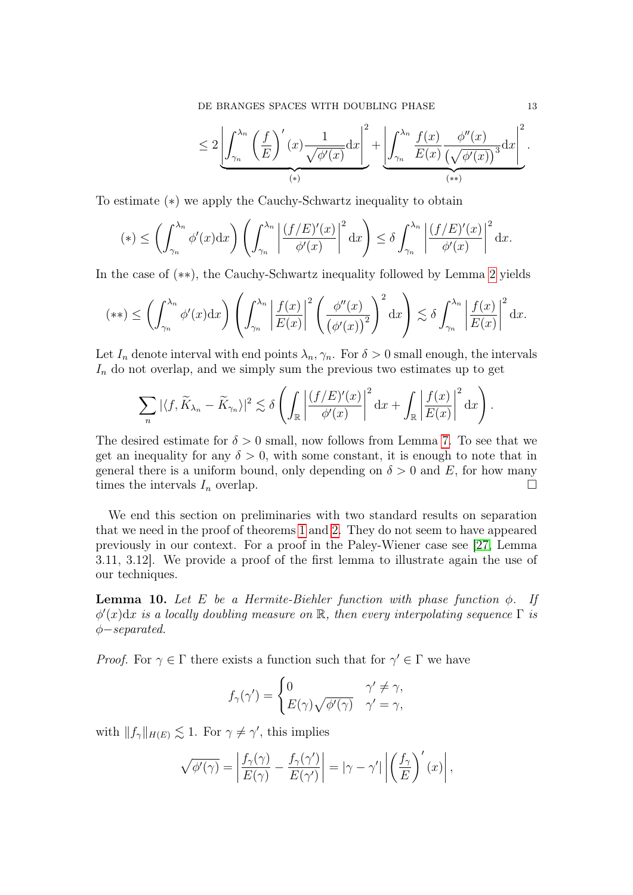DE BRANGES SPACES WITH DOUBLING PHASE 13

$$
\leq 2\left|\int_{\gamma_n}^{\lambda_n}\left(\frac{f}{E}\right)'(x)\frac{1}{\sqrt{\phi'(x)}}\mathrm{d}x\right|^2 + \left|\int_{\gamma_n}^{\lambda_n}\frac{f(x)}{E(x)}\frac{\phi''(x)}{\left(\sqrt{\phi'(x)}\right)^3}\mathrm{d}x\right|^2}{\phi(x)}.
$$

To estimate (∗) we apply the Cauchy-Schwartz inequality to obtain

$$
(*) \leq \left(\int_{\gamma_n}^{\lambda_n} \phi'(x) dx\right) \left(\int_{\gamma_n}^{\lambda_n} \left|\frac{(f/E)'(x)}{\phi'(x)}\right|^2 dx\right) \leq \delta \int_{\gamma_n}^{\lambda_n} \left|\frac{(f/E)'(x)}{\phi'(x)}\right|^2 dx.
$$

In the case of (∗∗), the Cauchy-Schwartz inequality followed by Lemma [2](#page-5-0) yields

$$
(**) \leq \left(\int_{\gamma_n}^{\lambda_n} \phi'(x) dx\right) \left(\int_{\gamma_n}^{\lambda_n} \left|\frac{f(x)}{E(x)}\right|^2 \left(\frac{\phi''(x)}{\left(\phi'(x)\right)^2}\right)^2 dx\right) \lesssim \delta \int_{\gamma_n}^{\lambda_n} \left|\frac{f(x)}{E(x)}\right|^2 dx.
$$

Let  $I_n$  denote interval with end points  $\lambda_n, \gamma_n$ . For  $\delta > 0$  small enough, the intervals  $I_n$  do not overlap, and we simply sum the previous two estimates up to get

$$
\sum_{n} |\langle f, \widetilde{K}_{\lambda_n} - \widetilde{K}_{\gamma_n} \rangle|^2 \lesssim \delta \left( \int_{\mathbb{R}} \left| \frac{(f/E)'(x)}{\phi'(x)} \right|^2 dx + \int_{\mathbb{R}} \left| \frac{f(x)}{E(x)} \right|^2 dx \right).
$$

The desired estimate for  $\delta > 0$  small, now follows from Lemma [7.](#page-10-0) To see that we get an inequality for any  $\delta > 0$ , with some constant, it is enough to note that in general there is a uniform bound, only depending on  $\delta > 0$  and E, for how many times the intervals  $I_n$  overlap.

We end this section on preliminaries with two standard results on separation that we need in the proof of theorems [1](#page-4-0) and [2.](#page-4-1) They do not seem to have appeared previously in our context. For a proof in the Paley-Wiener case see [\[27,](#page-30-7) Lemma 3.11, 3.12]. We provide a proof of the first lemma to illustrate again the use of our techniques.

**Lemma 10.** Let E be a Hermite-Biehler function with phase function  $\phi$ . If  $\phi'(x)dx$  is a locally doubling measure on R, then every interpolating sequence  $\Gamma$  is φ−separated.

*Proof.* For  $\gamma \in \Gamma$  there exists a function such that for  $\gamma' \in \Gamma$  we have

$$
f_{\gamma}(\gamma') = \begin{cases} 0 & \gamma' \neq \gamma, \\ E(\gamma)\sqrt{\phi'(\gamma)} & \gamma' = \gamma, \end{cases}
$$

with  $|| f_\gamma ||_{H(E)} \lesssim 1$ . For  $\gamma \neq \gamma'$ , this implies

$$
\sqrt{\phi'(\gamma)} = \left| \frac{f_{\gamma}(\gamma)}{E(\gamma)} - \frac{f_{\gamma}(\gamma')}{E(\gamma')} \right| = |\gamma - \gamma'| \left| \left( \frac{f_{\gamma}}{E} \right)'(x) \right|,
$$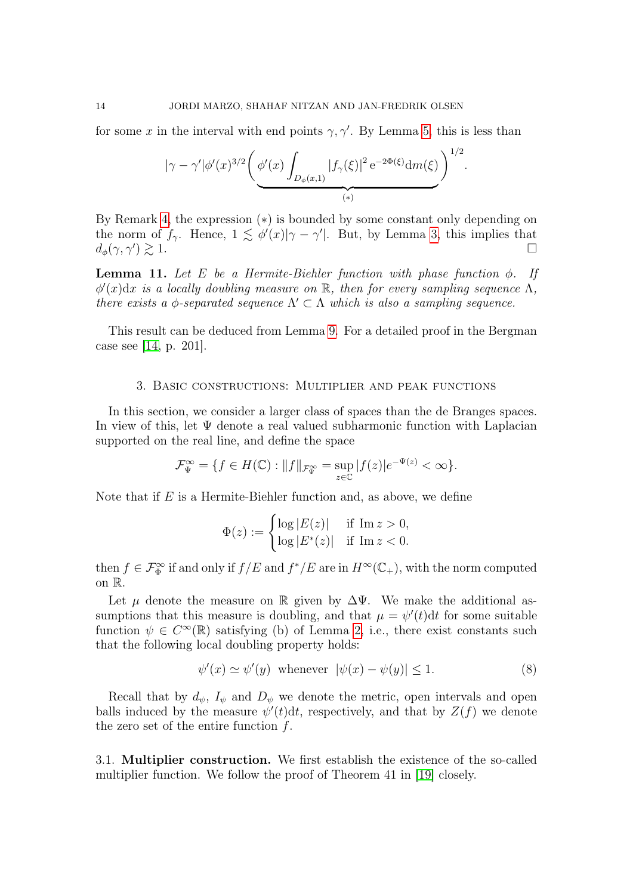for some x in the interval with end points  $\gamma$ ,  $\gamma'$ . By Lemma [5,](#page-8-3) this is less than

$$
|\gamma - \gamma'| \phi'(x)^{3/2} \Bigg( \underbrace{\phi'(x) \int_{D_{\phi}(x,1)} |f_{\gamma}(\xi)|^2 e^{-2\Phi(\xi)} dm(\xi)}_{(*)}\Bigg)^{1/2}.
$$

By Remark [4,](#page-10-1) the expression (∗) is bounded by some constant only depending on the norm of  $f_\gamma$ . Hence,  $1 \leq \phi'(x) | \gamma - \gamma' |$ . But, by Lemma [3,](#page-7-1) this implies that  $d_{\phi}(\gamma, \gamma') \gtrsim 1.$  $)\gtrsim 1.$ 

**Lemma 11.** Let E be a Hermite-Biehler function with phase function  $\phi$ . If  $\phi'(x)dx$  is a locally doubling measure on R, then for every sampling sequence  $\Lambda$ , there exists a  $\phi$ -separated sequence  $\Lambda' \subset \Lambda$  which is also a sampling sequence.

This result can be deduced from Lemma [9.](#page-11-1) For a detailed proof in the Bergman case see [\[14,](#page-29-20) p. 201].

### 3. Basic constructions: Multiplier and peak functions

<span id="page-13-0"></span>In this section, we consider a larger class of spaces than the de Branges spaces. In view of this, let  $\Psi$  denote a real valued subharmonic function with Laplacian supported on the real line, and define the space

$$
\mathcal{F}_{\Psi}^{\infty} = \{ f \in H(\mathbb{C}) : ||f||_{\mathcal{F}_{\Psi}^{\infty}} = \sup_{z \in \mathbb{C}} |f(z)|e^{-\Psi(z)} < \infty \}.
$$

Note that if  $E$  is a Hermite-Biehler function and, as above, we define

$$
\Phi(z) := \begin{cases} \log |E(z)| & \text{if } \operatorname{Im} z > 0, \\ \log |E^*(z)| & \text{if } \operatorname{Im} z < 0. \end{cases}
$$

then  $f \in \mathcal{F}_{\Phi}^{\infty}$  if and only if  $f/E$  and  $f^*/E$  are in  $H^{\infty}(\mathbb{C}_+)$ , with the norm computed on R.

Let  $\mu$  denote the measure on R given by  $\Delta \Psi$ . We make the additional assumptions that this measure is doubling, and that  $\mu = \psi'(t)dt$  for some suitable function  $\psi \in C^{\infty}(\mathbb{R})$  satisfying (b) of Lemma [2,](#page-5-0) i.e., there exist constants such that the following local doubling property holds:

<span id="page-13-1"></span>
$$
\psi'(x) \simeq \psi'(y) \quad \text{whenever} \quad |\psi(x) - \psi(y)| \le 1. \tag{8}
$$

Recall that by  $d_{\psi}$ ,  $I_{\psi}$  and  $D_{\psi}$  we denote the metric, open intervals and open balls induced by the measure  $\psi'(t)dt$ , respectively, and that by  $Z(f)$  we denote the zero set of the entire function  $f$ .

3.1. Multiplier construction. We first establish the existence of the so-called multiplier function. We follow the proof of Theorem 41 in [\[19\]](#page-29-6) closely.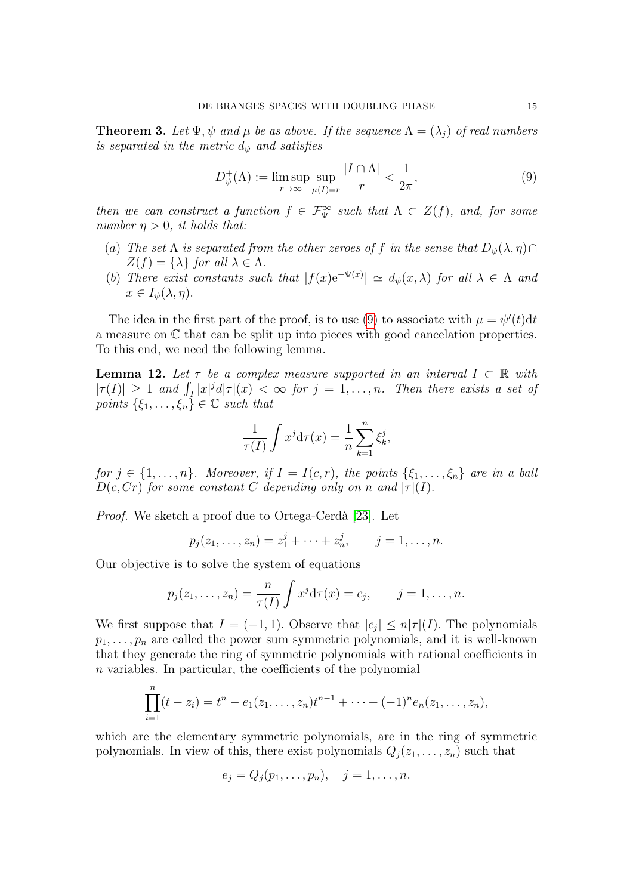<span id="page-14-1"></span>**Theorem 3.** Let  $\Psi, \psi$  and  $\mu$  be as above. If the sequence  $\Lambda = (\lambda_i)$  of real numbers is separated in the metric  $d_{\psi}$  and satisfies

<span id="page-14-0"></span>
$$
D_{\psi}^{+}(\Lambda) := \limsup_{r \to \infty} \sup_{\mu(I)=r} \frac{|I \cap \Lambda|}{r} < \frac{1}{2\pi},\tag{9}
$$

then we can construct a function  $f \in \mathcal{F}_{\Psi}^{\infty}$  such that  $\Lambda \subset Z(f)$ , and, for some number  $\eta > 0$ , it holds that:

- (a) The set  $\Lambda$  is separated from the other zeroes of f in the sense that  $D_{\psi}(\lambda, \eta) \cap$  $Z(f) = {\lambda}$  for all  $\lambda \in \Lambda$ .
- (b) There exist constants such that  $|f(x)e^{-\Psi(x)}| \simeq d_{\psi}(x,\lambda)$  for all  $\lambda \in \Lambda$  and  $x \in I_{\psi}(\lambda, \eta).$

The idea in the first part of the proof, is to use [\(9\)](#page-14-0) to associate with  $\mu = \psi'(t) dt$ a measure on C that can be split up into pieces with good cancelation properties. To this end, we need the following lemma.

<span id="page-14-2"></span>**Lemma 12.** Let  $\tau$  be a complex measure supported in an interval  $I \subset \mathbb{R}$  with  $|\tau(I)| \geq 1$  and  $\int_I |x|^j d|\tau|(x) < \infty$  for  $j = 1, \ldots, n$ . Then there exists a set of points  $\{\xi_1,\ldots,\xi_n\} \in \mathbb{C}$  such that

$$
\frac{1}{\tau(I)} \int x^j \mathrm{d}\tau(x) = \frac{1}{n} \sum_{k=1}^n \xi_k^j,
$$

for  $j \in \{1, \ldots, n\}$ . Moreover, if  $I = I(c, r)$ , the points  $\{\xi_1, \ldots, \xi_n\}$  are in a ball  $D(c, Cr)$  for some constant C depending only on n and  $|\tau|(I)$ .

Proof. We sketch a proof due to Ortega-Cerdà [\[23\]](#page-29-21). Let

$$
p_j(z_1,..., z_n) = z_1^j + \cdots + z_n^j, \qquad j = 1,..., n.
$$

Our objective is to solve the system of equations

$$
p_j(z_1,\ldots,z_n)=\frac{n}{\tau(I)}\int x^j\mathrm{d}\tau(x)=c_j,\qquad j=1,\ldots,n.
$$

We first suppose that  $I = (-1, 1)$ . Observe that  $|c_j| \leq n|\tau|(I)$ . The polynomials  $p_1, \ldots, p_n$  are called the power sum symmetric polynomials, and it is well-known that they generate the ring of symmetric polynomials with rational coefficients in n variables. In particular, the coefficients of the polynomial

$$
\prod_{i=1}^n (t-z_i) = t^n - e_1(z_1,\ldots,z_n)t^{n-1} + \cdots + (-1)^n e_n(z_1,\ldots,z_n),
$$

which are the elementary symmetric polynomials, are in the ring of symmetric polynomials. In view of this, there exist polynomials  $Q_j(z_1, \ldots, z_n)$  such that

$$
e_j = Q_j(p_1, \ldots, p_n), \quad j = 1, \ldots, n.
$$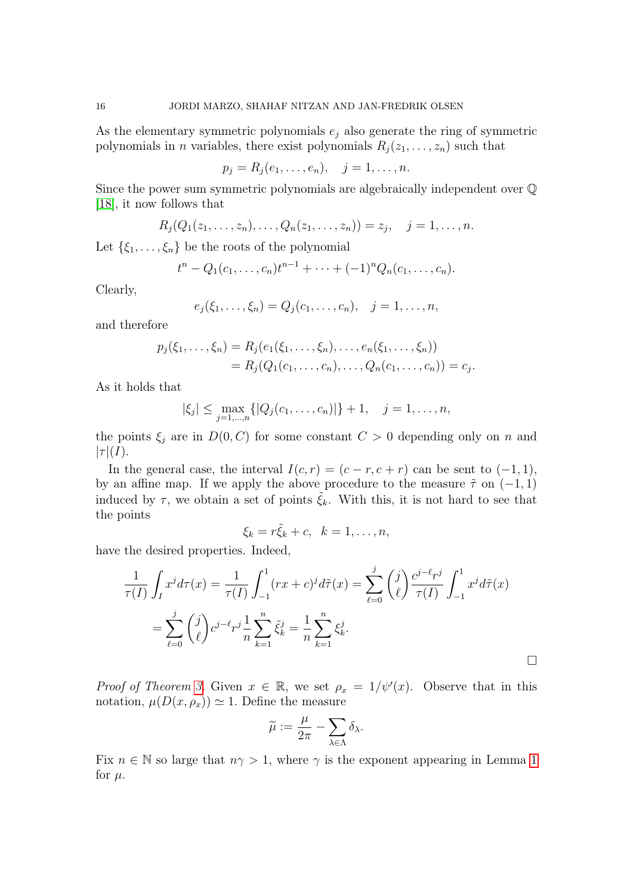As the elementary symmetric polynomials  $e_j$  also generate the ring of symmetric polynomials in *n* variables, there exist polynomials  $R_i(z_1, \ldots, z_n)$  such that

$$
p_j = R_j(e_1, \ldots, e_n), \quad j = 1, \ldots, n.
$$

Since the power sum symmetric polynomials are algebraically independent over Q [\[18\]](#page-29-22), it now follows that

$$
R_j(Q_1(z_1,\ldots,z_n),\ldots,Q_n(z_1,\ldots,z_n))=z_j, \quad j=1,\ldots,n.
$$

Let  $\{\xi_1,\ldots,\xi_n\}$  be the roots of the polynomial

$$
t^{n}-Q_{1}(c_{1},...,c_{n})t^{n-1}+\cdots+(-1)^{n}Q_{n}(c_{1},...,c_{n}).
$$

Clearly,

$$
e_j(\xi_1,\ldots,\xi_n) = Q_j(c_1,\ldots,c_n), \quad j = 1,\ldots,n,
$$

and therefore

$$
p_j(\xi_1, ..., \xi_n) = R_j(e_1(\xi_1, ..., \xi_n), ..., e_n(\xi_1, ..., \xi_n))
$$
  
=  $R_j(Q_1(c_1, ..., c_n), ..., Q_n(c_1, ..., c_n)) = c_j.$ 

As it holds that

$$
|\xi_j| \le \max_{j=1,\dots,n} \{|Q_j(c_1,\dots,c_n)|\} + 1, \quad j = 1,\dots,n,
$$

the points  $\xi_j$  are in  $D(0, C)$  for some constant  $C > 0$  depending only on n and  $|\tau|(I).$ 

In the general case, the interval  $I(c, r) = (c - r, c + r)$  can be sent to  $(-1, 1)$ , by an affine map. If we apply the above procedure to the measure  $\tilde{\tau}$  on (-1, 1) induced by  $\tau$ , we obtain a set of points  $\tilde{\xi}_k$ . With this, it is not hard to see that the points

$$
\xi_k = r\tilde{\xi}_k + c, \ \ k = 1, \ldots, n,
$$

have the desired properties. Indeed,

$$
\frac{1}{\tau(I)} \int_I x^j d\tau(x) = \frac{1}{\tau(I)} \int_{-1}^1 (rx + c)^j d\tilde{\tau}(x) = \sum_{\ell=0}^j {j \choose \ell} \frac{c^{j-\ell}r^j}{\tau(I)} \int_{-1}^1 x^j d\tilde{\tau}(x)
$$

$$
= \sum_{\ell=0}^j {j \choose \ell} c^{j-\ell}r^j \frac{1}{n} \sum_{k=1}^n \tilde{\xi}_k^j = \frac{1}{n} \sum_{k=1}^n \xi_k^j.
$$

Proof of Theorem [3.](#page-14-1) Given  $x \in \mathbb{R}$ , we set  $\rho_x = 1/\psi'(x)$ . Observe that in this notation,  $\mu(D(x, \rho_x)) \simeq 1$ . Define the measure

$$
\widetilde{\mu}:=\frac{\mu}{2\pi}-\sum_{\lambda\in\Lambda}\delta_{\lambda}.
$$

Fix  $n \in \mathbb{N}$  so large that  $n\gamma > 1$  $n\gamma > 1$ , where  $\gamma$  is the exponent appearing in Lemma 1 for  $\mu$ .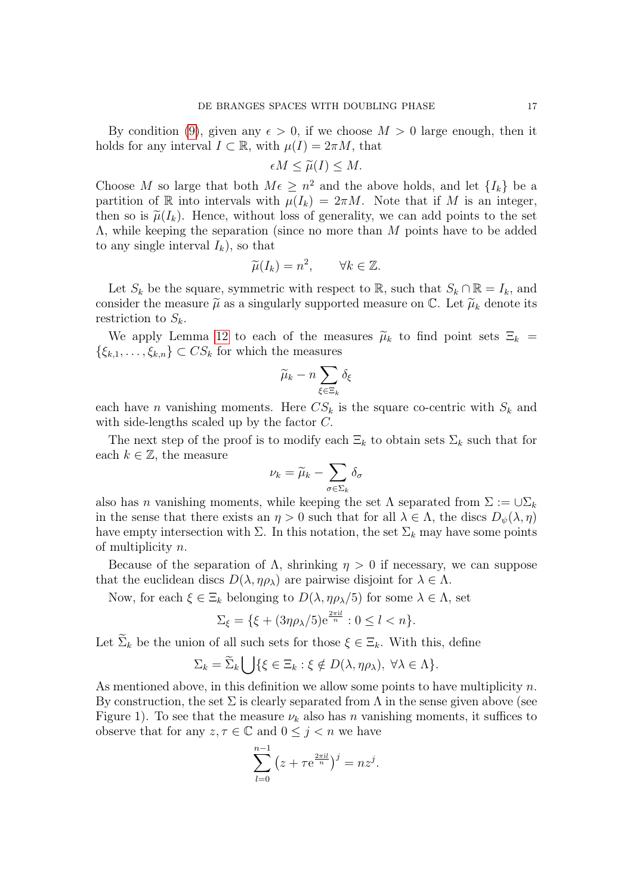By condition [\(9\)](#page-14-0), given any  $\epsilon > 0$ , if we choose  $M > 0$  large enough, then it holds for any interval  $I \subset \mathbb{R}$ , with  $\mu(I) = 2\pi M$ , that

$$
\epsilon M \le \widetilde{\mu}(I) \le M.
$$

Choose M so large that both  $M \in \mathbb{R}^2$  and the above holds, and let  $\{I_k\}$  be a partition of R into intervals with  $\mu(I_k) = 2\pi M$ . Note that if M is an integer, then so is  $\tilde{\mu}(I_k)$ . Hence, without loss of generality, we can add points to the set Λ, while keeping the separation (since no more than M points have to be added to any single interval  $I_k$ , so that

$$
\widetilde{\mu}(I_k) = n^2, \qquad \forall k \in \mathbb{Z}.
$$

Let  $S_k$  be the square, symmetric with respect to R, such that  $S_k \cap \mathbb{R} = I_k$ , and consider the measure  $\tilde{\mu}$  as a singularly supported measure on  $\mathbb{C}$ . Let  $\tilde{\mu}_k$  denote its restriction to  $S_k$ .

We apply Lemma [12](#page-14-2) to each of the measures  $\tilde{\mu}_k$  to find point sets  $\Xi_k$  =  $\{\xi_{k,1}, \ldots, \xi_{k,n}\} \subset CS_k$  for which the measures

$$
\widetilde{\mu}_k - n \sum_{\xi \in \Xi_k} \delta_{\xi}
$$

each have *n* vanishing moments. Here  $CS_k$  is the square co-centric with  $S_k$  and with side-lengths scaled up by the factor C.

The next step of the proof is to modify each  $\Xi_k$  to obtain sets  $\Sigma_k$  such that for each  $k \in \mathbb{Z}$ , the measure

$$
\nu_k = \widetilde{\mu}_k - \sum_{\sigma \in \Sigma_k} \delta_\sigma
$$

also has n vanishing moments, while keeping the set  $\Lambda$  separated from  $\Sigma := \cup \Sigma_k$ in the sense that there exists an  $\eta > 0$  such that for all  $\lambda \in \Lambda$ , the discs  $D_{\psi}(\lambda, \eta)$ have empty intersection with  $\Sigma$ . In this notation, the set  $\Sigma_k$  may have some points of multiplicity n.

Because of the separation of  $\Lambda$ , shrinking  $\eta > 0$  if necessary, we can suppose that the euclidean discs  $D(\lambda, \eta \rho_{\lambda})$  are pairwise disjoint for  $\lambda \in \Lambda$ .

Now, for each  $\xi \in \Xi_k$  belonging to  $D(\lambda, \eta \rho_{\lambda}/5)$  for some  $\lambda \in \Lambda$ , set

$$
\Sigma_{\xi} = \{ \xi + (3\eta \rho_{\lambda}/5) e^{\frac{2\pi i l}{n}} : 0 \le l < n \}.
$$

Let  $\Sigma_k$  be the union of all such sets for those  $\xi \in \Xi_k$ . With this, define

$$
\Sigma_k = \widetilde{\Sigma}_k \bigcup \{ \xi \in \Xi_k : \xi \notin D(\lambda, \eta \rho_\lambda), \ \forall \lambda \in \Lambda \}.
$$

As mentioned above, in this definition we allow some points to have multiplicity  $n$ . By construction, the set  $\Sigma$  is clearly separated from  $\Lambda$  in the sense given above (see Figure 1). To see that the measure  $\nu_k$  also has n vanishing moments, it suffices to observe that for any  $z, \tau \in \mathbb{C}$  and  $0 \leq j < n$  we have

$$
\sum_{l=0}^{n-1} (z + \tau e^{\frac{2\pi i l}{n}})^j = nz^j.
$$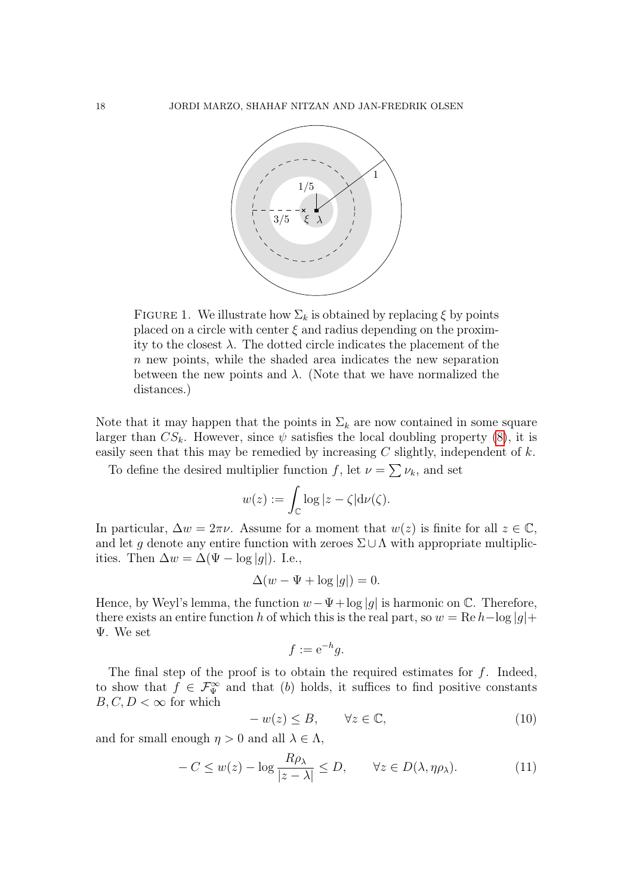

FIGURE 1. We illustrate how  $\Sigma_k$  is obtained by replacing  $\xi$  by points placed on a circle with center  $\xi$  and radius depending on the proximity to the closest  $\lambda$ . The dotted circle indicates the placement of the n new points, while the shaded area indicates the new separation between the new points and  $\lambda$ . (Note that we have normalized the distances.)

Note that it may happen that the points in  $\Sigma_k$  are now contained in some square larger than  $CS_k$ . However, since  $\psi$  satisfies the local doubling property [\(8\)](#page-13-1), it is easily seen that this may be remedied by increasing  $C$  slightly, independent of  $k$ .

To define the desired multiplier function f, let  $\nu = \sum \nu_k$ , and set

$$
w(z) := \int_{\mathbb{C}} \log |z - \zeta| \mathrm{d}\nu(\zeta).
$$

In particular,  $\Delta w = 2\pi\nu$ . Assume for a moment that  $w(z)$  is finite for all  $z \in \mathbb{C}$ , and let q denote any entire function with zeroes  $\Sigma \cup \Lambda$  with appropriate multiplicities. Then  $\Delta w = \Delta (\Psi - \log |g|)$ . I.e.,

$$
\Delta(w - \Psi + \log|g|) = 0.
$$

Hence, by Weyl's lemma, the function  $w-\Psi+\log|g|$  is harmonic on  $\mathbb{C}$ . Therefore, there exists an entire function h of which this is the real part, so  $w = \text{Re } h - \log|g| +$ Ψ. We set

$$
f := e^{-h}g.
$$

The final step of the proof is to obtain the required estimates for  $f$ . Indeed, to show that  $f \in \mathcal{F}_{\Psi}^{\infty}$  and that (b) holds, it suffices to find positive constants  $B, C, D < \infty$  for which

<span id="page-17-0"></span>
$$
-w(z) \le B, \qquad \forall z \in \mathbb{C}, \tag{10}
$$

and for small enough  $\eta > 0$  and all  $\lambda \in \Lambda$ ,

<span id="page-17-1"></span>
$$
-C \le w(z) - \log \frac{R\rho_{\lambda}}{|z - \lambda|} \le D, \qquad \forall z \in D(\lambda, \eta \rho_{\lambda}).
$$
 (11)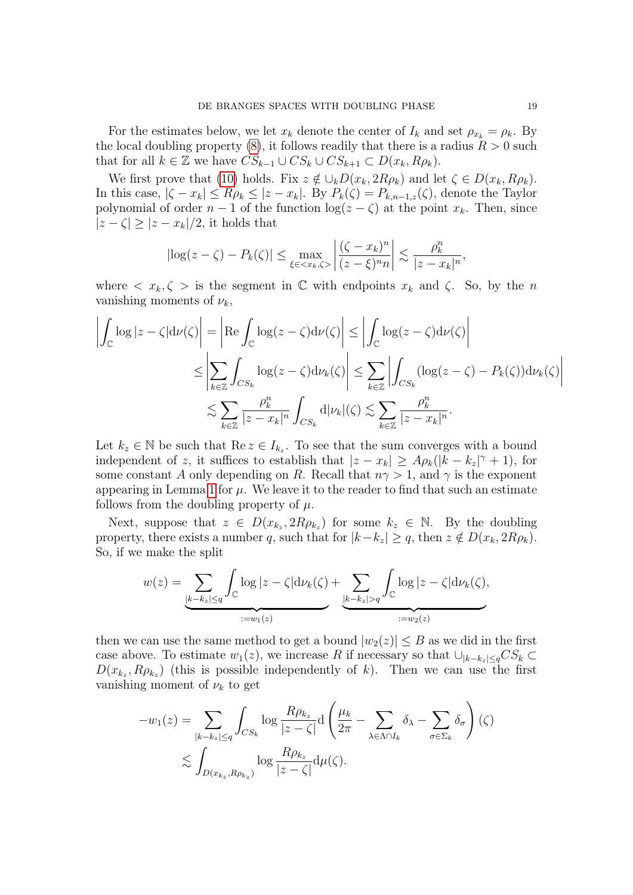For the estimates below, we let  $x_k$  denote the center of  $I_k$  and set  $\rho_{x_k} = \rho_k$ . By the local doubling property [\(8\)](#page-13-1), it follows readily that there is a radius  $R > 0$  such that for all  $k \in \mathbb{Z}$  we have  $CS_{k-1} \cup CS_k \cup CS_{k+1} \subset D(x_k, R\rho_k)$ .

We first prove that [\(10\)](#page-17-0) holds. Fix  $z \notin \bigcup_k D(x_k, 2R\rho_k)$  and let  $\zeta \in D(x_k, R\rho_k)$ . In this case,  $|\zeta - x_k| \le R\rho_k \le |z - x_k|$ . By  $P_k(\zeta) = P_{k,n-1,\zeta}(\zeta)$ , denote the Taylor polynomial of order  $n-1$  of the function  $log(z-\zeta)$  at the point  $x_k$ . Then, since  $|z-\zeta| \geq |z-x_k|/2$ , it holds that

$$
\left|\log(z-\zeta)-P_k(\zeta)\right|\leq \max_{\xi\in\langle x_k,\zeta\rangle}\left|\frac{(\zeta-x_k)^n}{(z-\xi)^n n}\right|\lesssim \frac{\rho_k^n}{|z-x_k|^n},
$$

where  $\langle x_k, \zeta \rangle$  is the segment in  $\mathbb C$  with endpoints  $x_k$  and  $\zeta$ . So, by the n vanishing moments of  $\nu_k$ ,

$$
\left| \int_{\mathbb{C}} \log |z - \zeta| d\nu(\zeta) \right| = \left| \text{Re} \int_{\mathbb{C}} \log(z - \zeta) d\nu(\zeta) \right| \le \left| \int_{\mathbb{C}} \log(z - \zeta) d\nu(\zeta) \right|
$$
  

$$
\le \left| \sum_{k \in \mathbb{Z}} \int_{CS_k} \log(z - \zeta) d\nu_k(\zeta) \right| \le \sum_{k \in \mathbb{Z}} \left| \int_{CS_k} (\log(z - \zeta) - P_k(\zeta)) d\nu_k(\zeta) \right|
$$
  

$$
\lesssim \sum_{k \in \mathbb{Z}} \frac{\rho_k^n}{|z - x_k|^n} \int_{CS_k} d|\nu_k|(\zeta) \lesssim \sum_{k \in \mathbb{Z}} \frac{\rho_k^n}{|z - x_k|^n}.
$$

Let  $k_z \in \mathbb{N}$  be such that  $\text{Re } z \in I_{k_z}$ . To see that the sum converges with a bound independent of z, it suffices to establish that  $|z - x_k| \ge A \rho_k (|k - k_z|^\gamma + 1)$ , for some constant A only depending on R. Recall that  $n\gamma > 1$ , and  $\gamma$  is the exponent appearing in Lemma [1](#page-5-2) for  $\mu$ . We leave it to the reader to find that such an estimate follows from the doubling property of  $\mu$ .

Next, suppose that  $z \in D(x_{k_z}, 2R\rho_{k_z})$  for some  $k_z \in \mathbb{N}$ . By the doubling property, there exists a number q, such that for  $|k-k_z| \ge q$ , then  $z \notin D(x_k, 2R\rho_k)$ . So, if we make the split

$$
w(z) = \underbrace{\sum_{|k-k_z| \leq q} \int_{\mathbb{C}} \log |z - \zeta| d\nu_k(\zeta)}_{:=w_1(z)} + \underbrace{\sum_{|k-k_z| > q} \int_{\mathbb{C}} \log |z - \zeta| d\nu_k(\zeta)}_{:=w_2(z)},
$$

then we can use the same method to get a bound  $|w_2(z)| \leq B$  as we did in the first case above. To estimate  $w_1(z)$ , we increase R if necessary so that  $\bigcup_{|k-k_z|\leq q} CS_k \subset$  $D(x_{k_z}, R\rho_{k_z})$  (this is possible independently of k). Then we can use the first vanishing moment of  $\nu_k$  to get

$$
-w_1(z) = \sum_{|k-k_z| \le q} \int_{CS_k} \log \frac{R\rho_{k_z}}{|z-\zeta|} d\left(\frac{\mu_k}{2\pi} - \sum_{\lambda \in \Lambda \cap I_k} \delta_{\lambda} - \sum_{\sigma \in \Sigma_k} \delta_{\sigma}\right)(\zeta)
$$

$$
\lesssim \int_{D(x_{k_z}, R\rho_{k_z})} \log \frac{R\rho_{k_z}}{|z-\zeta|} d\mu(\zeta).
$$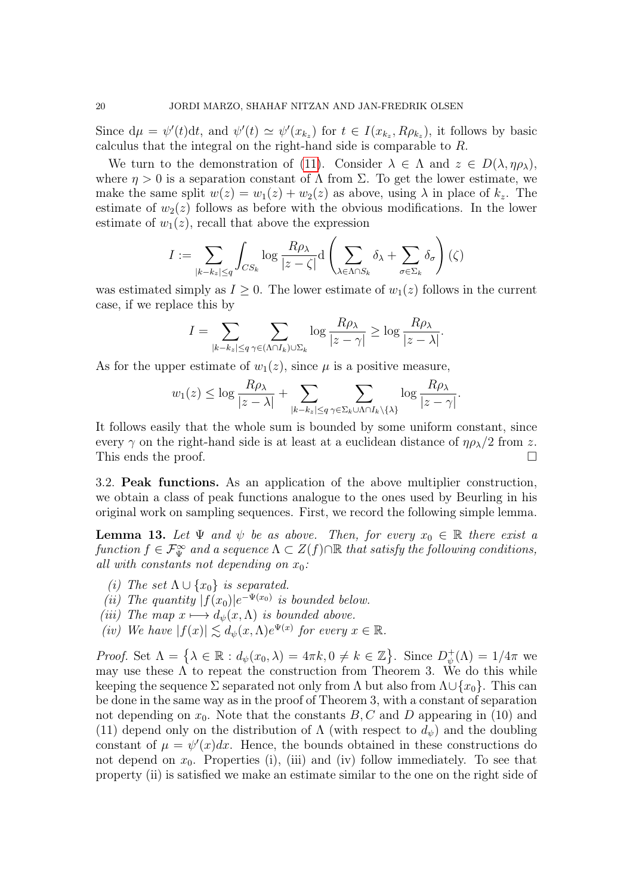Since  $d\mu = \psi'(t)dt$ , and  $\psi'(t) \simeq \psi'(x_{k_z})$  for  $t \in I(x_{k_z}, R\rho_{k_z})$ , it follows by basic calculus that the integral on the right-hand side is comparable to R.

We turn to the demonstration of [\(11\)](#page-17-1). Consider  $\lambda \in \Lambda$  and  $z \in D(\lambda, \eta \rho_{\lambda}),$ where  $\eta > 0$  is a separation constant of  $\Lambda$  from  $\Sigma$ . To get the lower estimate, we make the same split  $w(z) = w_1(z) + w_2(z)$  as above, using  $\lambda$  in place of  $k_z$ . The estimate of  $w_2(z)$  follows as before with the obvious modifications. In the lower estimate of  $w_1(z)$ , recall that above the expression

$$
I := \sum_{|k - k_z| \le q} \int_{CS_k} \log \frac{R\rho_\lambda}{|z - \zeta|} d\left(\sum_{\lambda \in \Lambda \cap S_k} \delta_\lambda + \sum_{\sigma \in \Sigma_k} \delta_\sigma\right)(\zeta)
$$

was estimated simply as  $I \geq 0$ . The lower estimate of  $w_1(z)$  follows in the current case, if we replace this by

$$
I = \sum_{|k - k_z| \le q} \sum_{\gamma \in (\Lambda \cap I_k) \cup \Sigma_k} \log \frac{R\rho_\lambda}{|z - \gamma|} \ge \log \frac{R\rho_\lambda}{|z - \lambda|}.
$$

As for the upper estimate of  $w_1(z)$ , since  $\mu$  is a positive measure,

$$
w_1(z) \leq \log \frac{R\rho_\lambda}{|z-\lambda|} + \sum_{|k-k_z| \leq q} \sum_{\gamma \in \Sigma_k \cup \Lambda \cap I_k \setminus \{\lambda\}} \log \frac{R\rho_\lambda}{|z-\gamma|}.
$$

It follows easily that the whole sum is bounded by some uniform constant, since every  $\gamma$  on the right-hand side is at least at a euclidean distance of  $\eta \rho_{\lambda}/2$  from z. This ends the proof.

3.2. Peak functions. As an application of the above multiplier construction, we obtain a class of peak functions analogue to the ones used by Beurling in his original work on sampling sequences. First, we record the following simple lemma.

<span id="page-19-0"></span>**Lemma 13.** Let  $\Psi$  and  $\psi$  be as above. Then, for every  $x_0 \in \mathbb{R}$  there exist a function  $f \in \mathcal{F}_{\Psi}^{\infty}$  and a sequence  $\Lambda \subset Z(f) \cap \mathbb{R}$  that satisfy the following conditions, all with constants not depending on  $x_0$ :

- (i) The set  $\Lambda \cup \{x_0\}$  is separated.
- (ii) The quantity  $|f(x_0)|e^{-\Psi(x_0)}$  is bounded below.
- (iii) The map  $x \mapsto d_{\psi}(x,\Lambda)$  is bounded above.
- (iv) We have  $|f(x)| \lesssim d_{\psi}(x,\Lambda) e^{\Psi(x)}$  for every  $x \in \mathbb{R}$ .

Proof. Set  $\Lambda = \{\lambda \in \mathbb{R} : d_{\psi}(x_0, \lambda) = 4\pi k, 0 \neq k \in \mathbb{Z}\}.$  Since  $D_{\psi}^+$  $\psi_{\psi}^{+}(\Lambda)=1/4\pi$  we may use these  $\Lambda$  to repeat the construction from Theorem 3. We do this while keeping the sequence  $\Sigma$  separated not only from  $\Lambda$  but also from  $\Lambda \cup \{x_0\}$ . This can be done in the same way as in the proof of Theorem 3, with a constant of separation not depending on  $x_0$ . Note that the constants  $B, C$  and D appearing in (10) and (11) depend only on the distribution of  $\Lambda$  (with respect to  $d_{\psi}$ ) and the doubling constant of  $\mu = \psi'(x)dx$ . Hence, the bounds obtained in these constructions do not depend on  $x_0$ . Properties (i), (iii) and (iv) follow immediately. To see that property (ii) is satisfied we make an estimate similar to the one on the right side of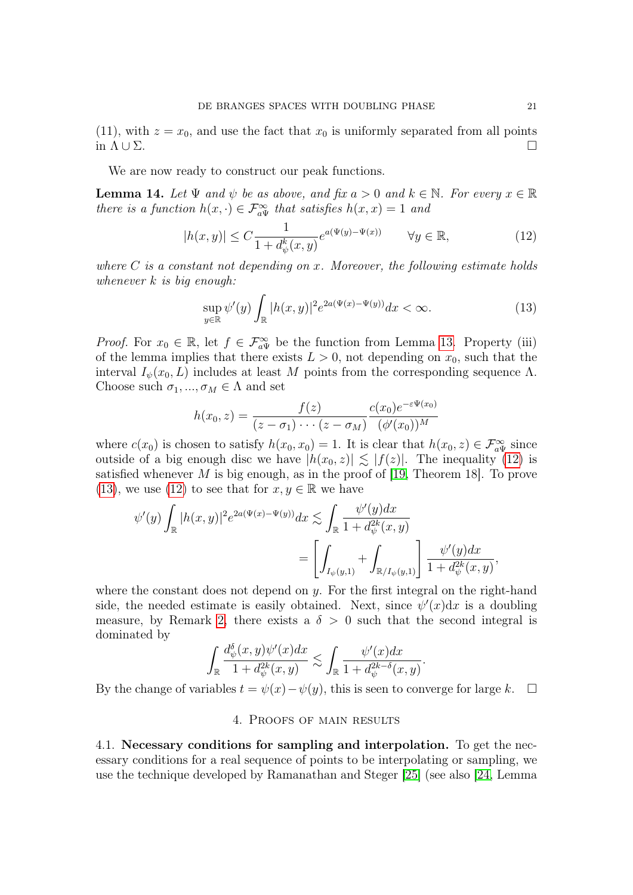(11), with  $z = x_0$ , and use the fact that  $x_0$  is uniformly separated from all points in  $\Lambda \cup \Sigma$ .

We are now ready to construct our peak functions.

<span id="page-20-3"></span>**Lemma 14.** Let  $\Psi$  and  $\psi$  be as above, and fix  $a > 0$  and  $k \in \mathbb{N}$ . For every  $x \in \mathbb{R}$ there is a function  $h(x, \cdot) \in \mathcal{F}_{a\Psi}^{\infty}$  that satisfies  $h(x, x) = 1$  and

<span id="page-20-1"></span>
$$
|h(x,y)| \le C \frac{1}{1 + d_{\psi}^{k}(x,y)} e^{a(\Psi(y) - \Psi(x))} \qquad \forall y \in \mathbb{R},
$$
\n(12)

where  $C$  is a constant not depending on x. Moreover, the following estimate holds whenever  $k$  is big enough:

<span id="page-20-2"></span>
$$
\sup_{y \in \mathbb{R}} \psi'(y) \int_{\mathbb{R}} |h(x,y)|^2 e^{2a(\Psi(x) - \Psi(y))} dx < \infty. \tag{13}
$$

*Proof.* For  $x_0 \in \mathbb{R}$ , let  $f \in \mathcal{F}_{a\Psi}^{\infty}$  be the function from Lemma [13.](#page-19-0) Property (iii) of the lemma implies that there exists  $L > 0$ , not depending on  $x_0$ , such that the interval  $I_{\psi}(x_0, L)$  includes at least M points from the corresponding sequence  $\Lambda$ . Choose such  $\sigma_1, ..., \sigma_M \in \Lambda$  and set

$$
h(x_0, z) = \frac{f(z)}{(z - \sigma_1) \cdots (z - \sigma_M)} \frac{c(x_0) e^{-\varepsilon \Psi(x_0)}}{(\phi'(x_0))^M}
$$

where  $c(x_0)$  is chosen to satisfy  $h(x_0, x_0) = 1$ . It is clear that  $h(x_0, z) \in \mathcal{F}_{a\Psi}^{\infty}$  since outside of a big enough disc we have  $|h(x_0, z)| \lesssim |f(z)|$ . The inequality [\(12\)](#page-20-1) is satisfied whenever  $M$  is big enough, as in the proof of [\[19,](#page-29-6) Theorem 18]. To prove [\(13\)](#page-20-2), we use [\(12\)](#page-20-1) to see that for  $x, y \in \mathbb{R}$  we have

$$
\psi'(y) \int_{\mathbb{R}} |h(x,y)|^2 e^{2a(\Psi(x) - \Psi(y))} dx \lesssim \int_{\mathbb{R}} \frac{\psi'(y) dx}{1 + d_{\psi}^{2k}(x, y)}
$$
  
= 
$$
\left[ \int_{I_{\psi}(y,1)} + \int_{\mathbb{R}/I_{\psi}(y,1)} \right] \frac{\psi'(y) dx}{1 + d_{\psi}^{2k}(x, y)},
$$

where the constant does not depend on  $y$ . For the first integral on the right-hand side, the needed estimate is easily obtained. Next, since  $\psi'(x)dx$  is a doubling measure, by Remark [2,](#page-7-3) there exists a  $\delta > 0$  such that the second integral is dominated by

$$
\int_{\mathbb{R}} \frac{d_{\psi}^{\delta}(x, y)\psi'(x)dx}{1 + d_{\psi}^{2k}(x, y)} \lesssim \int_{\mathbb{R}} \frac{\psi'(x)dx}{1 + d_{\psi}^{2k-\delta}(x, y)}.
$$

<span id="page-20-0"></span>By the change of variables  $t = \psi(x) - \psi(y)$ , this is seen to converge for large k.  $\Box$ 

# 4. Proofs of main results

4.1. Necessary conditions for sampling and interpolation. To get the necessary conditions for a real sequence of points to be interpolating or sampling, we use the technique developed by Ramanathan and Steger [\[25\]](#page-30-8) (see also [\[24,](#page-30-3) Lemma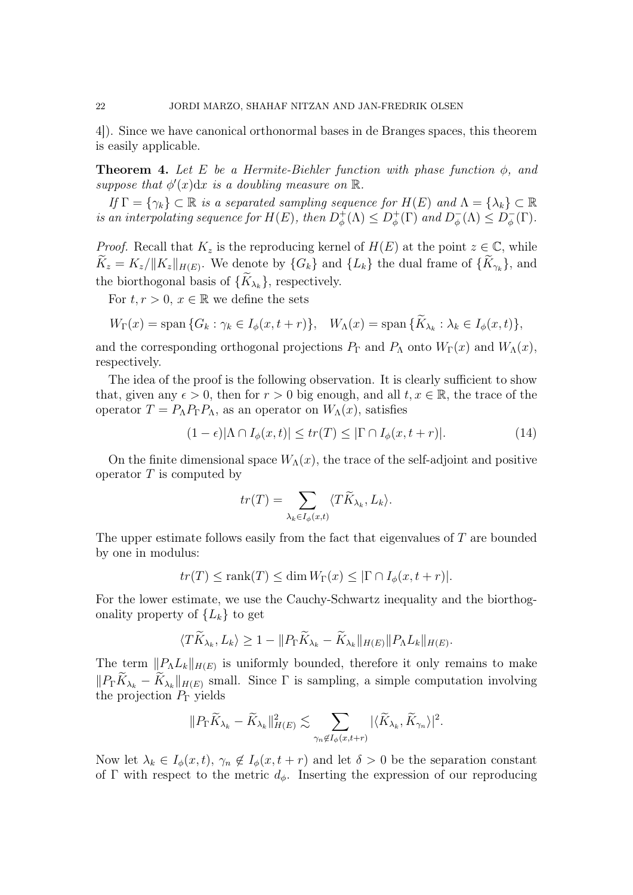4]). Since we have canonical orthonormal bases in de Branges spaces, this theorem is easily applicable.

**Theorem 4.** Let E be a Hermite-Biehler function with phase function  $\phi$ , and suppose that  $\phi'(x)dx$  is a doubling measure on  $\mathbb R$ .

If  $\Gamma = \{\gamma_k\} \subset \mathbb{R}$  is a separated sampling sequence for  $H(E)$  and  $\Lambda = \{\lambda_k\} \subset \mathbb{R}$ is an interpolating sequence for  $H(E)$ , then  $D_{\phi}^{+}$  $D_{\phi}^{+}(\Lambda) \leq D_{\phi}^{+}$  $\psi_{\phi}^{+}(\Gamma)$  and  $D_{\phi}^{-}$  $\overline{\phi}(\Lambda) \leq D_{\phi}^{-}$  $_{\phi}^{-}(\Gamma).$ 

*Proof.* Recall that  $K_z$  is the reproducing kernel of  $H(E)$  at the point  $z \in \mathbb{C}$ , while  $K_z = K_z / ||K_z||_{H(E)}$ . We denote by  $\{G_k\}$  and  $\{L_k\}$  the dual frame of  $\{K_{\gamma_k}\}\$ , and the biorthogonal basis of  $\{K_{\lambda_k}\}\)$ , respectively.

For  $t, r > 0, x \in \mathbb{R}$  we define the sets

$$
W_{\Gamma}(x) = \text{span}\{G_k : \gamma_k \in I_{\phi}(x, t+r)\}, \quad W_{\Lambda}(x) = \text{span}\{\tilde{K}_{\lambda_k} : \lambda_k \in I_{\phi}(x, t)\},
$$

and the corresponding orthogonal projections  $P_{\Gamma}$  and  $P_{\Lambda}$  onto  $W_{\Gamma}(x)$  and  $W_{\Lambda}(x)$ , respectively.

The idea of the proof is the following observation. It is clearly sufficient to show that, given any  $\epsilon > 0$ , then for  $r > 0$  big enough, and all  $t, x \in \mathbb{R}$ , the trace of the operator  $T = P_{\Lambda} P_{\Gamma} P_{\Lambda}$ , as an operator on  $W_{\Lambda}(x)$ , satisfies

<span id="page-21-0"></span>
$$
(1 - \epsilon)|\Lambda \cap I_{\phi}(x, t)| \le tr(T) \le |\Gamma \cap I_{\phi}(x, t + r)|. \tag{14}
$$

On the finite dimensional space  $W_{\Lambda}(x)$ , the trace of the self-adjoint and positive operator  $T$  is computed by

$$
tr(T) = \sum_{\lambda_k \in I_{\phi}(x,t)} \langle T \widetilde{K}_{\lambda_k}, L_k \rangle.
$$

The upper estimate follows easily from the fact that eigenvalues of T are bounded by one in modulus:

$$
tr(T) \le \text{rank}(T) \le \dim W_{\Gamma}(x) \le |\Gamma \cap I_{\phi}(x, t + r)|.
$$

For the lower estimate, we use the Cauchy-Schwartz inequality and the biorthogonality property of  $\{L_k\}$  to get

$$
\langle T\widetilde{K}_{\lambda_k}, L_k \rangle \ge 1 - \|P_{\Gamma}\widetilde{K}_{\lambda_k} - \widetilde{K}_{\lambda_k}\|_{H(E)} \|P_{\Lambda}L_k\|_{H(E)}.
$$

The term  $||P_{\Lambda}L_k||_{H(E)}$  is uniformly bounded, therefore it only remains to make  $||P_{\Gamma}K_{\lambda_k} - K_{\lambda_k}||_{H(E)}$  small. Since  $\Gamma$  is sampling, a simple computation involving the projection  $P_{\Gamma}$  yields

$$
||P_{\Gamma}\widetilde{K}_{\lambda_k}-\widetilde{K}_{\lambda_k}||_{H(E)}^2 \lesssim \sum_{\gamma_n \notin I_{\phi}(x,t+r)} |\langle \widetilde{K}_{\lambda_k}, \widetilde{K}_{\gamma_n} \rangle|^2.
$$

Now let  $\lambda_k \in I_\phi(x,t)$ ,  $\gamma_n \notin I_\phi(x,t+r)$  and let  $\delta > 0$  be the separation constant of Γ with respect to the metric  $d_{\phi}$ . Inserting the expression of our reproducing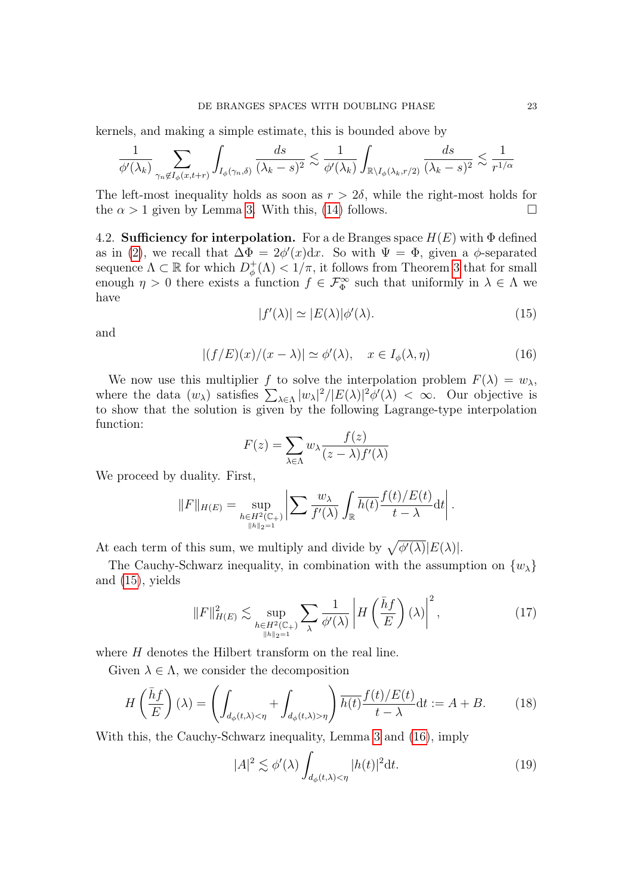kernels, and making a simple estimate, this is bounded above by

$$
\frac{1}{\phi'(\lambda_k)} \sum_{\gamma_n \notin I_{\phi}(x,t+r)} \int_{I_{\phi}(\gamma_n,\delta)} \frac{ds}{(\lambda_k - s)^2} \lesssim \frac{1}{\phi'(\lambda_k)} \int_{\mathbb{R}\setminus I_{\phi}(\lambda_k, r/2)} \frac{ds}{(\lambda_k - s)^2} \lesssim \frac{1}{r^{1/\alpha}}
$$

The left-most inequality holds as soon as  $r > 2\delta$ , while the right-most holds for the  $\alpha > 1$  given by Lemma [3.](#page-7-1) With this, [\(14\)](#page-21-0) follows.

4.2. **Sufficiency for interpolation.** For a de Branges space  $H(E)$  with  $\Phi$  defined as in [\(2\)](#page-7-2), we recall that  $\Delta \Phi = 2\phi'(x)dx$ . So with  $\Psi = \Phi$ , given a  $\phi$ -separated sequence  $\Lambda \subset \mathbb{R}$  for which  $D_{\phi}^+$  $\phi_{\phi}^{+}(\Lambda) < 1/\pi$ , it follows from Theorem [3](#page-14-1) that for small enough  $\eta > 0$  there exists a function  $f \in \mathcal{F}_{\Phi}^{\infty}$  such that uniformly in  $\lambda \in \Lambda$  we have

<span id="page-22-1"></span><span id="page-22-0"></span>
$$
|f'(\lambda)| \simeq |E(\lambda)| \phi'(\lambda). \tag{15}
$$

and

$$
|(f/E)(x)/(x - \lambda)| \simeq \phi'(\lambda), \quad x \in I_{\phi}(\lambda, \eta)
$$
\n(16)

We now use this multiplier f to solve the interpolation problem  $F(\lambda) = w_{\lambda}$ , where the data  $(w_\lambda)$  satisfies  $\sum_{\lambda \in \Lambda} |w_\lambda|^2 / |E(\lambda)|^2 \phi'(\lambda) < \infty$ . Our objective is to show that the solution is given by the following Lagrange-type interpolation function:

$$
F(z) = \sum_{\lambda \in \Lambda} w_{\lambda} \frac{f(z)}{(z - \lambda)f'(\lambda)}
$$

We proceed by duality. First,

$$
||F||_{H(E)} = \sup_{h \in H^2(\mathbb{C}_+)} \left| \sum \frac{w_{\lambda}}{f'(\lambda)} \int_{\mathbb{R}} \overline{h(t)} \frac{f(t)/E(t)}{t - \lambda} dt \right|.
$$

At each term of this sum, we multiply and divide by  $\sqrt{\phi'(\lambda)}|E(\lambda)|$ .

The Cauchy-Schwarz inequality, in combination with the assumption on  $\{w_{\lambda}\}\$ and [\(15\)](#page-22-0), yields

$$
||F||_{H(E)}^2 \lesssim \sup_{\substack{h \in H^2(\mathbb{C}_+) \\ ||h||_2 = 1}} \sum_{\lambda} \frac{1}{\phi'(\lambda)} \left| H\left(\frac{\bar{h}f}{E}\right)(\lambda) \right|^2, \tag{17}
$$

where H denotes the Hilbert transform on the real line.

Given  $\lambda \in \Lambda$ , we consider the decomposition

<span id="page-22-2"></span>
$$
H\left(\frac{\bar{h}f}{E}\right)(\lambda) = \left(\int_{d_{\phi}(t,\lambda) < \eta} + \int_{d_{\phi}(t,\lambda) > \eta} \right) \overline{h(t)} \frac{f(t)/E(t)}{t-\lambda} \, \mathrm{d}t := A + B. \tag{18}
$$

With this, the Cauchy-Schwarz inequality, Lemma [3](#page-7-1) and [\(16\)](#page-22-1), imply

$$
|A|^2 \lesssim \phi'(\lambda) \int_{d_\phi(t,\lambda) < \eta} |h(t)|^2 \mathrm{d}t. \tag{19}
$$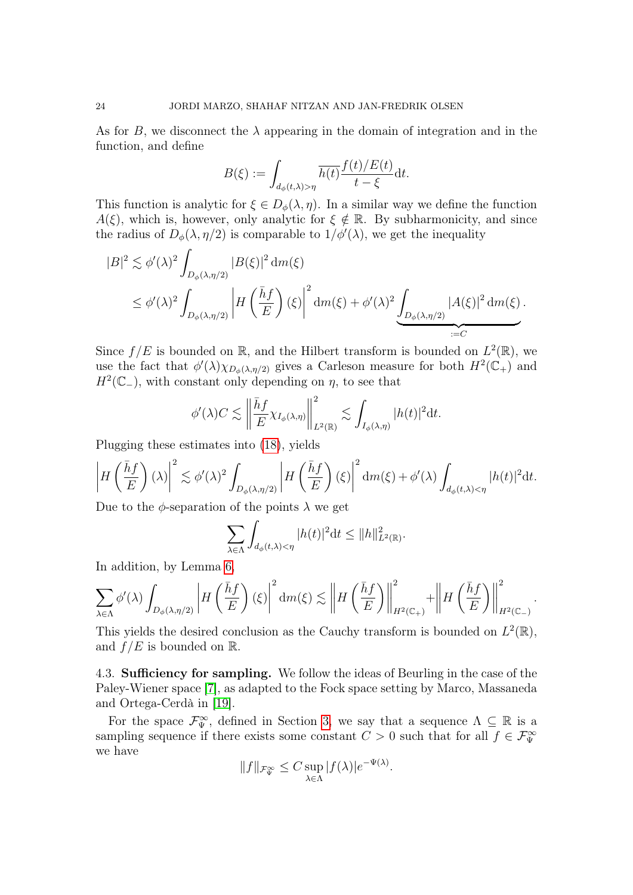As for B, we disconnect the  $\lambda$  appearing in the domain of integration and in the function, and define

$$
B(\xi) := \int_{d_{\phi}(t,\lambda) > \eta} \overline{h(t)} \frac{f(t)/E(t)}{t - \xi} dt.
$$

This function is analytic for  $\xi \in D_{\phi}(\lambda, \eta)$ . In a similar way we define the function  $A(\xi)$ , which is, however, only analytic for  $\xi \notin \mathbb{R}$ . By subharmonicity, and since the radius of  $D_{\phi}(\lambda, \eta/2)$  is comparable to  $1/\phi'(\lambda)$ , we get the inequality

$$
|B|^2 \lesssim \phi'(\lambda)^2 \int_{D_{\phi}(\lambda,\eta/2)} |B(\xi)|^2 dm(\xi)
$$
  
\$\leq \phi'(\lambda)^2 \int\_{D\_{\phi}(\lambda,\eta/2)} \left| H\left(\frac{\bar{h}f}{E}\right)(\xi) \right|^2 dm(\xi) + \phi'(\lambda)^2 \int\_{D\_{\phi}(\lambda,\eta/2)} |A(\xi)|^2 dm(\xi).

Since  $f/E$  is bounded on R, and the Hilbert transform is bounded on  $L^2(\mathbb{R})$ , we use the fact that  $\phi'(\lambda)\chi_{D_{\phi}(\lambda,\eta/2)}$  gives a Carleson measure for both  $H^2(\mathbb{C}_+)$  and  $H^2(\mathbb{C}_-)$ , with constant only depending on  $\eta$ , to see that

$$
\phi'(\lambda)C \lesssim \left\|\frac{\bar{h}f}{E}\chi_{I_{\phi}(\lambda,\eta)}\right\|_{L^2(\mathbb{R})}^2 \lesssim \int_{I_{\phi}(\lambda,\eta)} |h(t)|^2 dt.
$$

Plugging these estimates into [\(18\)](#page-22-2), yields

$$
\left|H\left(\frac{\bar{h}f}{E}\right)(\lambda)\right|^2 \lesssim \phi'(\lambda)^2 \int_{D_{\phi}(\lambda,\eta/2)} \left|H\left(\frac{\bar{h}f}{E}\right)(\xi)\right|^2 dm(\xi) + \phi'(\lambda) \int_{d_{\phi}(t,\lambda) < \eta} |h(t)|^2 \mathrm{d}t.
$$

Due to the  $\phi$ -separation of the points  $\lambda$  we get

$$
\sum_{\lambda \in \Lambda} \int_{d_{\phi}(t,\lambda) < \eta} |h(t)|^2 \mathrm{d}t \leq \|h\|_{L^2(\mathbb{R})}^2.
$$

In addition, by Lemma [6,](#page-9-0)

$$
\sum_{\lambda \in \Lambda} \phi'(\lambda) \int_{D_{\phi}(\lambda, \eta/2)} \left| H\left(\frac{\bar{h}f}{E}\right)(\xi) \right|^2 dm(\xi) \lesssim \left\| H\left(\frac{\bar{h}f}{E}\right) \right\|_{H^2(\mathbb{C}_+)}^2 + \left\| H\left(\frac{\bar{h}f}{E}\right) \right\|_{H^2(\mathbb{C}_-)}^2.
$$

This yields the desired conclusion as the Cauchy transform is bounded on  $L^2(\mathbb{R})$ , and  $f/E$  is bounded on R.

4.3. Sufficiency for sampling. We follow the ideas of Beurling in the case of the Paley-Wiener space [\[7\]](#page-29-7), as adapted to the Fock space setting by Marco, Massaneda and Ortega-Cerdà in [\[19\]](#page-29-6).

For the space  $\mathcal{F}_{\Psi}^{\infty}$ , defined in Section [3,](#page-13-0) we say that a sequence  $\Lambda \subseteq \mathbb{R}$  is a sampling sequence if there exists some constant  $C > 0$  such that for all  $f \in \mathcal{F}_{\Psi}^{\infty}$ we have

$$
||f||_{\mathcal{F}_{\Psi}^{\infty}} \leq C \sup_{\lambda \in \Lambda} |f(\lambda)| e^{-\Psi(\lambda)}.
$$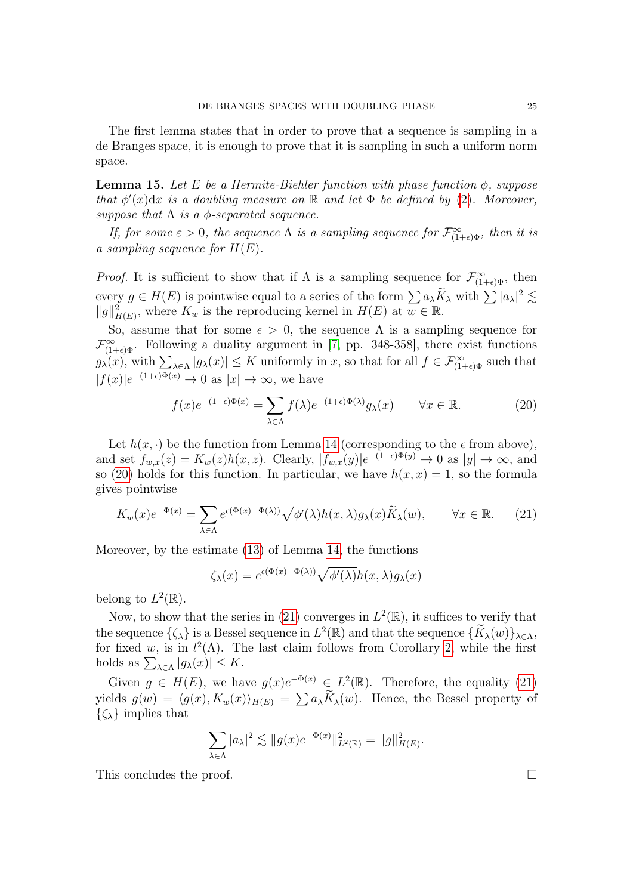The first lemma states that in order to prove that a sequence is sampling in a de Branges space, it is enough to prove that it is sampling in such a uniform norm space.

<span id="page-24-2"></span>**Lemma 15.** Let E be a Hermite-Biehler function with phase function  $\phi$ , suppose that  $\phi'(x)dx$  is a doubling measure on R and let  $\Phi$  be defined by [\(2\)](#page-7-2). Moreover, suppose that  $\Lambda$  is a  $\phi$ -separated sequence.

If, for some  $\varepsilon > 0$ , the sequence  $\Lambda$  is a sampling sequence for  $\mathcal{F}_{(1+\epsilon)\Phi}^{\infty}$ , then it is a sampling sequence for  $H(E)$ .

*Proof.* It is sufficient to show that if  $\Lambda$  is a sampling sequence for  $\mathcal{F}_{(1+\epsilon)\Phi}^{\infty}$ , then every  $g \in H(E)$  is pointwise equal to a series of the form  $\sum a_\lambda \widetilde{K}_\lambda$  with  $\sum |a_\lambda|^2 \lesssim$  $||g||_{H(E)}^2$ , where  $K_w$  is the reproducing kernel in  $H(E)$  at  $w \in \mathbb{R}$ .

So, assume that for some  $\epsilon > 0$ , the sequence  $\Lambda$  is a sampling sequence for  $\mathcal{F}_{(1+\epsilon)\Phi}^{\infty}$ . Following a duality argument in [\[7,](#page-29-7) pp. 348-358], there exist functions  $g_{\lambda}(x)$ , with  $\sum_{\lambda \in \Lambda} |g_{\lambda}(x)| \leq K$  uniformly in x, so that for all  $f \in \mathcal{F}_{(1+\epsilon)\Phi}^{\infty}$  such that  $|f(x)|e^{-(1+\epsilon)\Phi(x)} \to 0$  as  $|x| \to \infty$ , we have

<span id="page-24-0"></span>
$$
f(x)e^{-(1+\epsilon)\Phi(x)} = \sum_{\lambda \in \Lambda} f(\lambda)e^{-(1+\epsilon)\Phi(\lambda)}g_{\lambda}(x) \qquad \forall x \in \mathbb{R}.
$$
 (20)

Let  $h(x, \cdot)$  be the function from Lemma [14](#page-20-3) (corresponding to the  $\epsilon$  from above), and set  $f_{w,x}(z) = K_w(z)h(x,z)$ . Clearly,  $|f_{w,x}(y)|e^{-(1+\epsilon)\Phi(y)} \to 0$  as  $|y| \to \infty$ , and so [\(20\)](#page-24-0) holds for this function. In particular, we have  $h(x, x) = 1$ , so the formula gives pointwise

<span id="page-24-1"></span>
$$
K_w(x)e^{-\Phi(x)} = \sum_{\lambda \in \Lambda} e^{\epsilon(\Phi(x) - \Phi(\lambda))} \sqrt{\phi'(\lambda)} h(x, \lambda) g_\lambda(x) \widetilde{K}_\lambda(w), \qquad \forall x \in \mathbb{R}.
$$
 (21)

Moreover, by the estimate [\(13\)](#page-20-2) of Lemma [14,](#page-20-3) the functions

$$
\zeta_{\lambda}(x) = e^{\epsilon(\Phi(x) - \Phi(\lambda))} \sqrt{\phi'(\lambda)} h(x, \lambda) g_{\lambda}(x)
$$

belong to  $L^2(\mathbb{R})$ .

Now, to show that the series in [\(21\)](#page-24-1) converges in  $L^2(\mathbb{R})$ , it suffices to verify that the sequence  $\{\zeta_{\lambda}\}\$ is a Bessel sequence in  $L^2(\mathbb{R})$  and that the sequence  $\{\widetilde{K}_{\lambda}(w)\}_{\lambda \in \Lambda}$ , for fixed w, is in  $l^2(\Lambda)$ . The last claim follows from Corollary [2,](#page-11-2) while the first holds as  $\sum_{\lambda \in \Lambda} |g_{\lambda}(x)| \leq K$ .

Given  $g \in H(E)$ , we have  $g(x)e^{-\Phi(x)} \in L^2(\mathbb{R})$ . Therefore, the equality [\(21\)](#page-24-1) yields  $g(w) = \langle g(x), K_w(x) \rangle_{H(E)} = \sum a_\lambda K_\lambda(w)$ . Hence, the Bessel property of  $\{\zeta_\lambda\}$  implies that

$$
\sum_{\lambda \in \Lambda} |a_{\lambda}|^2 \lesssim ||g(x)e^{-\Phi(x)}||^2_{L^2(\mathbb{R})} = ||g||^2_{H(E)}.
$$

This concludes the proof.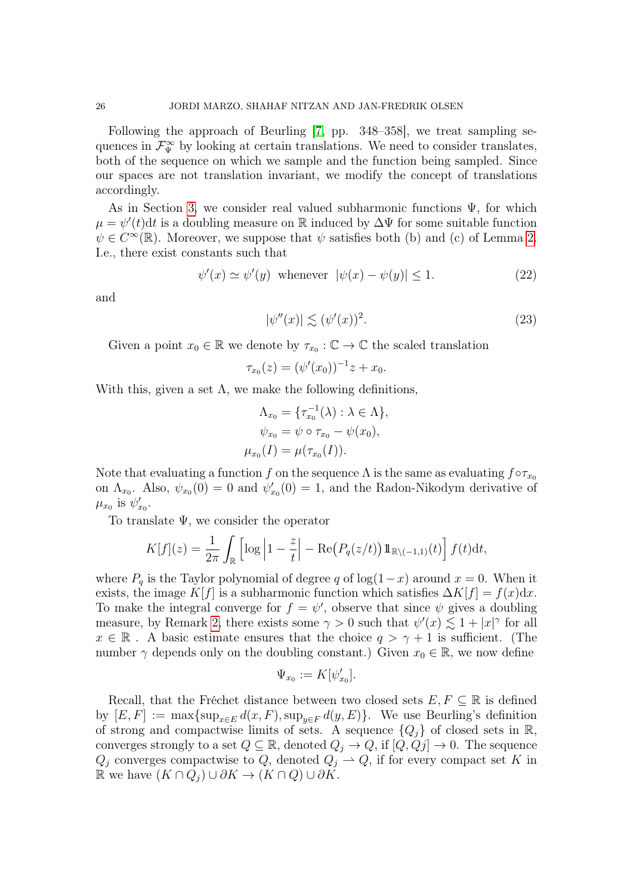Following the approach of Beurling [\[7,](#page-29-7) pp. 348–358], we treat sampling sequences in  $\mathcal{F}_{\Psi}^{\infty}$  by looking at certain translations. We need to consider translates, both of the sequence on which we sample and the function being sampled. Since our spaces are not translation invariant, we modify the concept of translations accordingly.

As in Section [3,](#page-13-0) we consider real valued subharmonic functions  $\Psi$ , for which  $\mu = \psi'(t)dt$  is a doubling measure on R induced by  $\Delta \Psi$  for some suitable function  $\psi \in C^{\infty}(\mathbb{R})$ . Moreover, we suppose that  $\psi$  satisfies both (b) and (c) of Lemma [2.](#page-5-0) I.e., there exist constants such that

$$
\psi'(x) \simeq \psi'(y) \quad \text{whenever} \quad |\psi(x) - \psi(y)| \le 1. \tag{22}
$$

and

<span id="page-25-0"></span>
$$
|\psi''(x)| \lesssim (\psi'(x))^2.
$$
\n(23)

Given a point  $x_0 \in \mathbb{R}$  we denote by  $\tau_{x_0} : \mathbb{C} \to \mathbb{C}$  the scaled translation

$$
\tau_{x_0}(z) = (\psi'(x_0))^{-1}z + x_0.
$$

With this, given a set  $\Lambda$ , we make the following definitions,

$$
\Lambda_{x_0} = \{\tau_{x_0}^{-1}(\lambda) : \lambda \in \Lambda\},
$$
  

$$
\psi_{x_0} = \psi \circ \tau_{x_0} - \psi(x_0),
$$
  

$$
\mu_{x_0}(I) = \mu(\tau_{x_0}(I)).
$$

Note that evaluating a function f on the sequence  $\Lambda$  is the same as evaluating  $f \circ \tau_{x_0}$ on  $\Lambda_{x_0}$ . Also,  $\psi_{x_0}(0) = 0$  and  $\psi'_{x_0}(0) = 1$ , and the Radon-Nikodym derivative of  $\mu_{x_0}$  is  $\psi'_{x_0}$ .

To translate  $\Psi$ , we consider the operator

$$
K[f](z) = \frac{1}{2\pi} \int_{\mathbb{R}} \left[ \log \left| 1 - \frac{z}{t} \right| - \text{Re} \big( P_q(z/t) \big) 1\!\!1_{\mathbb{R}\setminus(-1,1)}(t) \right] f(t) \, \mathrm{d}t,
$$

where  $P_q$  is the Taylor polynomial of degree q of log(1-x) around  $x = 0$ . When it exists, the image K[f] is a subharmonic function which satisfies  $\Delta K[f] = f(x)dx$ . To make the integral converge for  $f = \psi'$ , observe that since  $\psi$  gives a doubling measure, by Remark [2,](#page-7-3) there exists some  $\gamma > 0$  such that  $\psi'(x) \lesssim 1 + |x|^{\gamma}$  for all  $x \in \mathbb{R}$ . A basic estimate ensures that the choice  $q > \gamma + 1$  is sufficient. (The number  $\gamma$  depends only on the doubling constant.) Given  $x_0 \in \mathbb{R}$ , we now define

$$
\Psi_{x_0}:=K[\psi'_{x_0}].
$$

Recall, that the Fréchet distance between two closed sets  $E, F \subseteq \mathbb{R}$  is defined by  $[E, F] := \max\{\sup_{x \in E} d(x, F), \sup_{y \in F} d(y, E)\}.$  We use Beurling's definition of strong and compactwise limits of sets. A sequence  $\{Q_i\}$  of closed sets in R, converges strongly to a set  $Q \subseteq \mathbb{R}$ , denoted  $Q_j \to Q$ , if  $[Q, Qj] \to 0$ . The sequence  $Q_j$  converges compactwise to Q, denoted  $Q_j \to Q$ , if for every compact set K in R we have  $(K \cap Q_i) \cup \partial K \rightarrow (K \cap Q) \cup \partial K$ .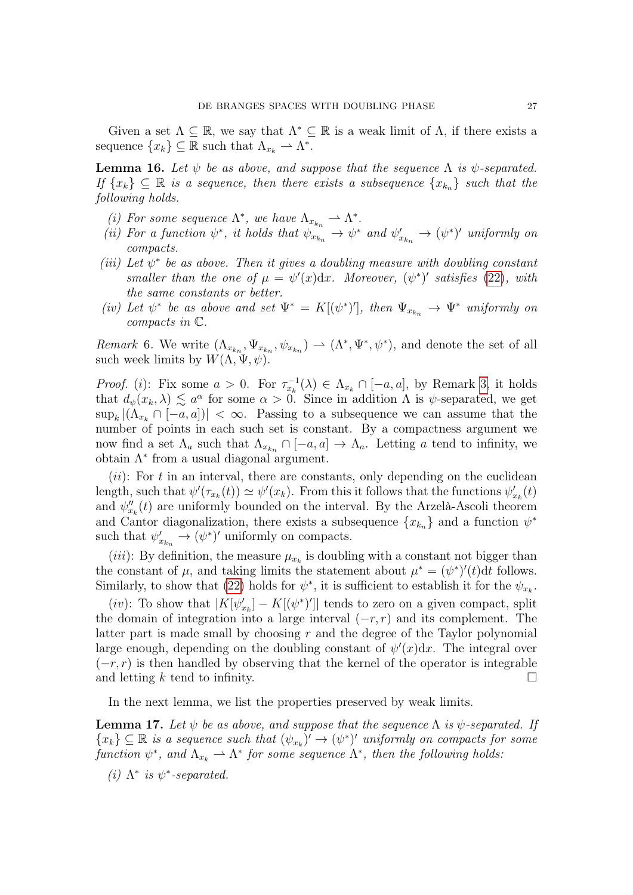Given a set  $\Lambda \subseteq \mathbb{R}$ , we say that  $\Lambda^* \subseteq \mathbb{R}$  is a weak limit of  $\Lambda$ , if there exists a sequence  $\{x_k\} \subseteq \mathbb{R}$  such that  $\Lambda_{x_k} \to \Lambda^*$ .

<span id="page-26-0"></span>**Lemma 16.** Let  $\psi$  be as above, and suppose that the sequence  $\Lambda$  is  $\psi$ -separated. If  $\{x_k\} \subseteq \mathbb{R}$  is a sequence, then there exists a subsequence  $\{x_{k_n}\}$  such that the following holds.

- (i) For some sequence  $\Lambda^*$ , we have  $\Lambda_{x_{k_n}} \to \Lambda^*$ .
- (ii) For a function  $\psi^*$ , it holds that  $\psi_{x_{k_n}} \to \psi^*$  and  $\psi'_{x_{k_n}} \to (\psi^*)'$  uniformly on compacts.
- (iii) Let  $\psi^*$  be as above. Then it gives a doubling measure with doubling constant smaller than the one of  $\mu = \psi'(x)dx$ . Moreover,  $(\psi^*)'$  satisfies [\(22\)](#page-25-0), with the same constants or better.
- (iv) Let  $\psi^*$  be as above and set  $\Psi^* = K[(\psi^*)']$ , then  $\Psi_{x_{k_n}} \to \Psi^*$  uniformly on compacts in C.

Remark 6. We write  $(\Lambda_{x_{k_n}}, \Psi_{x_{k_n}}, \psi_{x_{k_n}}) \to (\Lambda^*, \Psi^*, \psi^*)$ , and denote the set of all such week limits by  $W(\Lambda, \Psi, \psi)$ .

*Proof.* (*i*): Fix some  $a > 0$ . For  $\tau_{x_k}^{-1}(\lambda) \in \Lambda_{x_k} \cap [-a, a]$ , by Remark [3,](#page-7-4) it holds that  $d_{\psi}(x_k, \lambda) \lesssim a^{\alpha}$  for some  $\alpha > 0$ . Since in addition  $\Lambda$  is  $\psi$ -separated, we get  $\sup_k |(\Lambda_{x_k} \cap [-a,a])| < \infty$ . Passing to a subsequence we can assume that the number of points in each such set is constant. By a compactness argument we now find a set  $\Lambda_a$  such that  $\Lambda_{x_{k_n}} \cap [-a, a] \to \Lambda_a$ . Letting a tend to infinity, we obtain  $\Lambda^*$  from a usual diagonal argument.

 $(ii)$ : For t in an interval, there are constants, only depending on the euclidean length, such that  $\psi'(\tau_{x_k}(t)) \simeq \psi'(x_k)$ . From this it follows that the functions  $\psi'_{x_k}(t)$ and  $\psi''_{x_k}(t)$  are uniformly bounded on the interval. By the Arzelà-Ascoli theorem and Cantor diagonalization, there exists a subsequence  $\{x_{k_n}\}\$ and a function  $\psi^*$ such that  $\psi'_{x_{k_n}} \to (\psi^*)'$  uniformly on compacts.

(*iii*): By definition, the measure  $\mu_{x_k}$  is doubling with a constant not bigger than the constant of  $\mu$ , and taking limits the statement about  $\mu^* = (\psi^*)'(t)dt$  follows. Similarly, to show that [\(22\)](#page-25-0) holds for  $\psi^*$ , it is sufficient to establish it for the  $\psi_{x_k}$ .

(*iv*): To show that  $|K[\psi_{x_k}'] - K[(\psi^*)']|$  tends to zero on a given compact, split the domain of integration into a large interval  $(-r, r)$  and its complement. The latter part is made small by choosing  $r$  and the degree of the Taylor polynomial large enough, depending on the doubling constant of  $\psi'(x)dx$ . The integral over  $(-r, r)$  is then handled by observing that the kernel of the operator is integrable and letting k tend to infinity.

In the next lemma, we list the properties preserved by weak limits.

<span id="page-26-1"></span>**Lemma 17.** Let  $\psi$  be as above, and suppose that the sequence  $\Lambda$  is  $\psi$ -separated. If  $\{x_k\} \subseteq \mathbb{R}$  is a sequence such that  $(\psi_{x_k})' \to (\psi^*)'$  uniformly on compacts for some function  $\psi^*$ , and  $\Lambda_{x_k} \to \Lambda^*$  for some sequence  $\Lambda^*$ , then the following holds:

(i)  $\Lambda^*$  is  $\psi^*$ -separated.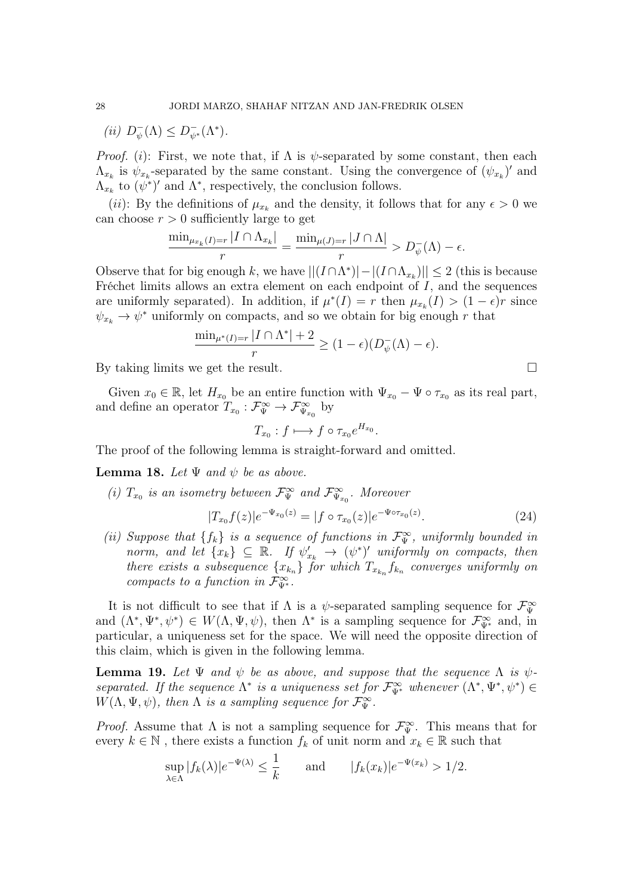$(ii)$   $D_{\psi}^ \overline{\psi}(\Lambda) \leq D_{\psi^*}^-(\Lambda^*).$ 

*Proof.* (i): First, we note that, if  $\Lambda$  is  $\psi$ -separated by some constant, then each  $\Lambda_{x_k}$  is  $\psi_{x_k}$ -separated by the same constant. Using the convergence of  $(\psi_{x_k})'$  and  $\Lambda_{x_k}$  to  $(\psi^*)'$  and  $\Lambda^*$ , respectively, the conclusion follows.

(*ii*): By the definitions of  $\mu_{x_k}$  and the density, it follows that for any  $\epsilon > 0$  we can choose  $r > 0$  sufficiently large to get

$$
\frac{\min_{\mu_{x_k}(I)=r}|I \cap \Lambda_{x_k}|}{r} = \frac{\min_{\mu(J)=r}|J \cap \Lambda|}{r} > D_{\psi}^{-}(\Lambda) - \epsilon.
$$

Observe that for big enough k, we have  $||(I \cap \Lambda^*)| - |(I \cap \Lambda_{x_k})|| \leq 2$  (this is because Fréchet limits allows an extra element on each endpoint of I, and the sequences are uniformly separated). In addition, if  $\mu^*(I) = r$  then  $\mu_{x_k}(I) > (1 - \epsilon)r$  since  $\psi_{x_k} \to \psi^*$  uniformly on compacts, and so we obtain for big enough r that

$$
\frac{\min_{\mu^*(I)=r} |I \cap \Lambda^*| + 2}{r} \ge (1 - \epsilon)(D_{\psi}^-(\Lambda) - \epsilon).
$$

By taking limits we get the result.

Given  $x_0 \in \mathbb{R}$ , let  $H_{x_0}$  be an entire function with  $\Psi_{x_0} - \Psi \circ \tau_{x_0}$  as its real part, and define an operator  $T_{x_0}: \mathcal{F}_{\Psi}^{\infty} \to \mathcal{F}_{\Psi_{x_0}}^{\infty}$  by

$$
T_{x_0}: f \longmapsto f \circ \tau_{x_0} e^{H_{x_0}}.
$$

The proof of the following lemma is straight-forward and omitted.

<span id="page-27-0"></span>**Lemma 18.** Let  $\Psi$  and  $\psi$  be as above.

(i)  $T_{x_0}$  is an isometry between  $\mathcal{F}_{\Psi}^{\infty}$  and  $\mathcal{F}_{\Psi_{x_0}}^{\infty}$ . Moreover

$$
|T_{x_0}f(z)|e^{-\Psi_{x_0}(z)} = |f \circ \tau_{x_0}(z)|e^{-\Psi \circ \tau_{x_0}(z)}.
$$
\n(24)

(ii) Suppose that  $\{f_k\}$  is a sequence of functions in  $\mathcal{F}_{\Psi}^{\infty}$ , uniformly bounded in norm, and let  $\{x_k\} \subseteq \mathbb{R}$ . If  $\psi'_{x_k} \to (\psi^*)'$  uniformly on compacts, then there exists a subsequence  $\{x_{k_n}\}$  for which  $T_{x_{k_n}}f_{k_n}$  converges uniformly on compacts to a function in  $\mathcal{F}_{\Psi^*}^{\infty}$ .

It is not difficult to see that if  $\Lambda$  is a  $\psi$ -separated sampling sequence for  $\mathcal{F}_{\Psi}^{\infty}$ and  $(\Lambda^*, \Psi^*, \psi^*) \in W(\Lambda, \Psi, \psi)$ , then  $\Lambda^*$  is a sampling sequence for  $\mathcal{F}_{\Psi^*}^{\infty}$  and, in particular, a uniqueness set for the space. We will need the opposite direction of this claim, which is given in the following lemma.

<span id="page-27-1"></span>**Lemma 19.** Let  $\Psi$  and  $\psi$  be as above, and suppose that the sequence  $\Lambda$  is  $\psi$ separated. If the sequence  $\Lambda^*$  is a uniqueness set for  $\mathcal{F}_{\Psi^*}^{\infty}$  whenever  $(\Lambda^*, \Psi^*, \psi^*) \in$  $W(\Lambda, \Psi, \psi)$ , then  $\Lambda$  is a sampling sequence for  $\mathcal{F}_{\Psi}^{\infty}$ .

*Proof.* Assume that  $\Lambda$  is not a sampling sequence for  $\mathcal{F}_{\Psi}^{\infty}$ . This means that for every  $k \in \mathbb{N}$ , there exists a function  $f_k$  of unit norm and  $x_k \in \mathbb{R}$  such that

$$
\sup_{\lambda \in \Lambda} |f_k(\lambda)| e^{-\Psi(\lambda)} \le \frac{1}{k} \quad \text{and} \quad |f_k(x_k)| e^{-\Psi(x_k)} > 1/2.
$$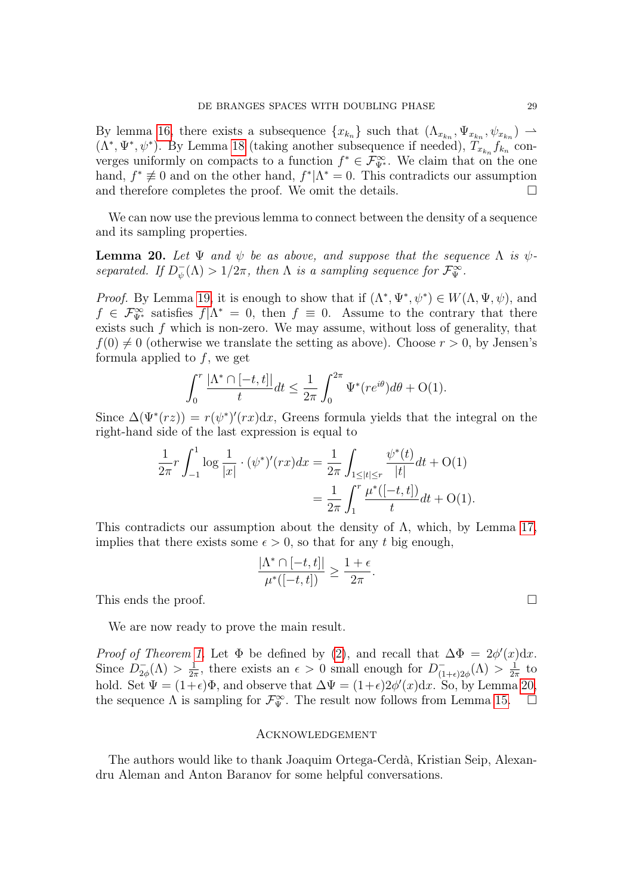By lemma [16,](#page-26-0) there exists a subsequence  $\{x_{k_n}\}\$  such that  $(\Lambda_{x_{k_n}}, \Psi_{x_{k_n}}, \psi_{x_{k_n}}) \longrightarrow$  $(\Lambda^*, \Psi^*, \psi^*)$ . By Lemma [18](#page-27-0) (taking another subsequence if needed),  $T_{x_{k_n}} f_{k_n}$  converges uniformly on compacts to a function  $f^* \in \mathcal{F}_{\Psi^*}^{\infty}$ . We claim that on the one hand,  $f^* \not\equiv 0$  and on the other hand,  $f^*|\Lambda^* = 0$ . This contradicts our assumption and therefore completes the proof. We omit the details.  $\Box$ 

We can now use the previous lemma to connect between the density of a sequence and its sampling properties.

<span id="page-28-0"></span>**Lemma 20.** Let  $\Psi$  and  $\psi$  be as above, and suppose that the sequence  $\Lambda$  is  $\psi$ separated. If  $D_{\psi}^ \psi_{\psi}(\Lambda) > 1/2\pi$ , then  $\Lambda$  is a sampling sequence for  $\mathcal{F}_{\Psi}^{\infty}$ .

*Proof.* By Lemma [19,](#page-27-1) it is enough to show that if  $(\Lambda^*, \Psi^*, \psi^*) \in W(\Lambda, \Psi, \psi)$ , and  $f \in \mathcal{F}_{\Psi^*}^{\infty}$  satisfies  $f | \Lambda^* = 0$ , then  $f \equiv 0$ . Assume to the contrary that there exists such  $f$  which is non-zero. We may assume, without loss of generality, that  $f(0) \neq 0$  (otherwise we translate the setting as above). Choose  $r > 0$ , by Jensen's formula applied to  $f$ , we get

$$
\int_0^r \frac{|\Lambda^* \cap [-t, t]|}{t} dt \le \frac{1}{2\pi} \int_0^{2\pi} \Psi^*(re^{i\theta}) d\theta + O(1).
$$

Since  $\Delta(\Psi^*(rz)) = r(\psi^*)'(rx)dx$ , Greens formula yields that the integral on the right-hand side of the last expression is equal to

$$
\frac{1}{2\pi}r \int_{-1}^{1} \log \frac{1}{|x|} \cdot (\psi^*)'(rx) dx = \frac{1}{2\pi} \int_{1 \leq |t| \leq r} \frac{\psi^*(t)}{|t|} dt + O(1)
$$

$$
= \frac{1}{2\pi} \int_{1}^{r} \frac{\mu^*([-t, t])}{t} dt + O(1).
$$

This contradicts our assumption about the density of  $\Lambda$ , which, by Lemma [17,](#page-26-1) implies that there exists some  $\epsilon > 0$ , so that for any t big enough,

$$
\frac{|\Lambda^* \cap [-t,t]|}{\mu^*([-t,t])} \ge \frac{1+\epsilon}{2\pi}.
$$

This ends the proof.  $\Box$ 

We are now ready to prove the main result.

Proof of Theorem [1.](#page-4-0) Let  $\Phi$  be defined by [\(2\)](#page-7-2), and recall that  $\Delta \Phi = 2\phi'(x)dx$ . Since  $D_{2c}^ ^{-}_{2\phi}(\Lambda) > \frac{1}{2\pi}$  $\frac{1}{2\pi}$ , there exists an  $\epsilon > 0$  small enough for  $D_{(1)}^ \frac{1}{(1+\epsilon)2\phi}(\Lambda) > \frac{1}{2\pi}$  $rac{1}{2\pi}$  to hold. Set  $\Psi = (1+\epsilon)\Phi$ , and observe that  $\Delta \Psi = (1+\epsilon)2\phi'(x)dx$ . So, by Lemma [20,](#page-28-0) the sequence  $\Lambda$  is sampling for  $\mathcal{F}_{\Psi}^{\infty}$ . The result now follows from Lemma [15.](#page-24-2)  $\Box$ 

#### Acknowledgement

The authors would like to thank Joaquim Ortega-Cerdà, Kristian Seip, Alexandru Aleman and Anton Baranov for some helpful conversations.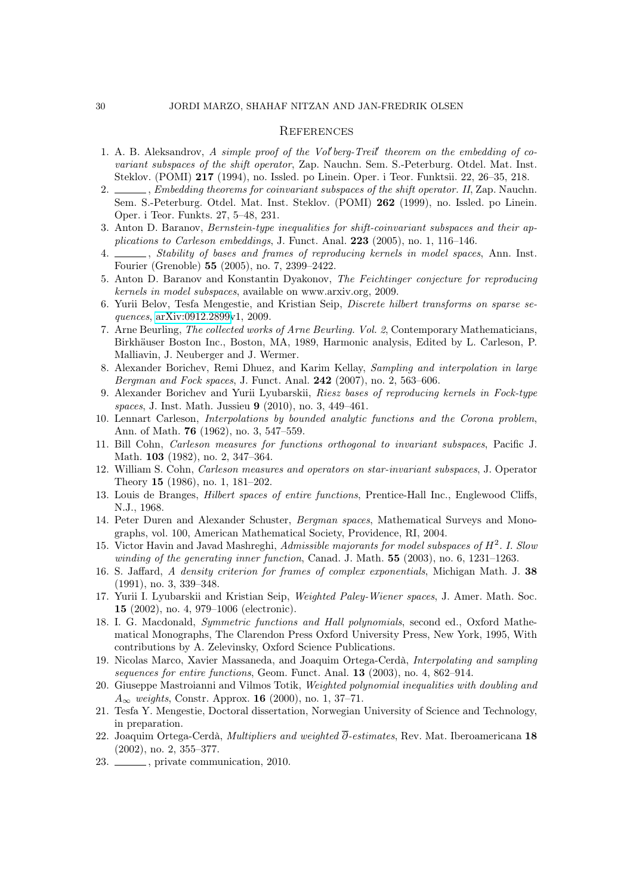#### 30 JORDI MARZO, SHAHAF NITZAN AND JAN-FREDRIK OLSEN

#### **REFERENCES**

- <span id="page-29-17"></span>1. A. B. Aleksandrov,  $A$  simple proof of the Vol'berg-Treil' theorem on the embedding of covariant subspaces of the shift operator, Zap. Nauchn. Sem. S.-Peterburg. Otdel. Mat. Inst. Steklov. (POMI) 217 (1994), no. Issled. po Linein. Oper. i Teor. Funktsii. 22, 26–35, 218.
- <span id="page-29-4"></span>2. Supersonally ending theorems for coinvariant subspaces of the shift operator. II, Zap. Nauchn. Sem. S.-Peterburg. Otdel. Mat. Inst. Steklov. (POMI) 262 (1999), no. Issled. po Linein. Oper. i Teor. Funkts. 27, 5–48, 231.
- <span id="page-29-19"></span>3. Anton D. Baranov, Bernstein-type inequalities for shift-coinvariant subspaces and their applications to Carleson embeddings, J. Funct. Anal. 223 (2005), no. 1, 116–146.
- <span id="page-29-9"></span> $\overline{\phantom{a}}$ , Stability of bases and frames of reproducing kernels in model spaces. Ann. Inst. Fourier (Grenoble) 55 (2005), no. 7, 2399–2422.
- <span id="page-29-14"></span>5. Anton D. Baranov and Konstantin Dyakonov, The Feichtinger conjecture for reproducing kernels in model subspaces, available on www.arxiv.org, 2009.
- <span id="page-29-10"></span>6. Yurii Belov, Tesfa Mengestie, and Kristian Seip, Discrete hilbert transforms on sparse sequences, [arXiv:0912.2899v](http://arxiv.org/abs/0912.2899)1, 2009.
- <span id="page-29-7"></span>7. Arne Beurling, The collected works of Arne Beurling. Vol. 2, Contemporary Mathematicians, Birkhäuser Boston Inc., Boston, MA, 1989, Harmonic analysis, Edited by L. Carleson, P. Malliavin, J. Neuberger and J. Wermer.
- <span id="page-29-11"></span>8. Alexander Borichev, Remi Dhuez, and Karim Kellay, Sampling and interpolation in large Bergman and Fock spaces, J. Funct. Anal. 242 (2007), no. 2, 563–606.
- <span id="page-29-12"></span>9. Alexander Borichev and Yurii Lyubarskii, Riesz bases of reproducing kernels in Fock-type spaces, J. Inst. Math. Jussieu 9 (2010), no. 3, 449–461.
- <span id="page-29-18"></span>10. Lennart Carleson, Interpolations by bounded analytic functions and the Corona problem, Ann. of Math. 76 (1962), no. 3, 547–559.
- <span id="page-29-2"></span>11. Bill Cohn, Carleson measures for functions orthogonal to invariant subspaces, Pacific J. Math. 103 (1982), no. 2, 347–364.
- <span id="page-29-3"></span>12. William S. Cohn, Carleson measures and operators on star-invariant subspaces, J. Operator Theory 15 (1986), no. 1, 181–202.
- <span id="page-29-0"></span>13. Louis de Branges, Hilbert spaces of entire functions, Prentice-Hall Inc., Englewood Cliffs, N.J., 1968.
- <span id="page-29-20"></span>14. Peter Duren and Alexander Schuster, Bergman spaces, Mathematical Surveys and Monographs, vol. 100, American Mathematical Society, Providence, RI, 2004.
- <span id="page-29-1"></span>15. Victor Havin and Javad Mashreghi, Admissible majorants for model subspaces of  $H<sup>2</sup>$ . I. Slou winding of the generating inner function, Canad. J. Math. **55** (2003), no. 6, 1231-1263.
- <span id="page-29-8"></span>16. S. Jaffard, A density criterion for frames of complex exponentials, Michigan Math. J. 38 (1991), no. 3, 339–348.
- <span id="page-29-5"></span>17. Yurii I. Lyubarskii and Kristian Seip, Weighted Paley-Wiener spaces, J. Amer. Math. Soc. 15 (2002), no. 4, 979–1006 (electronic).
- <span id="page-29-22"></span>18. I. G. Macdonald, Symmetric functions and Hall polynomials, second ed., Oxford Mathematical Monographs, The Clarendon Press Oxford University Press, New York, 1995, With contributions by A. Zelevinsky, Oxford Science Publications.
- <span id="page-29-6"></span>19. Nicolas Marco, Xavier Massaneda, and Joaquim Ortega-Cerdà, Interpolating and sampling sequences for entire functions, Geom. Funct. Anal. 13 (2003), no. 4, 862–914.
- <span id="page-29-16"></span>20. Giuseppe Mastroianni and Vilmos Totik, Weighted polynomial inequalities with doubling and  $A_{\infty}$  weights, Constr. Approx. 16 (2000), no. 1, 37–71.
- <span id="page-29-13"></span>21. Tesfa Y. Mengestie, Doctoral dissertation, Norwegian University of Science and Technology, in preparation.
- <span id="page-29-15"></span>22. Joaquim Ortega-Cerdà, Multipliers and weighted  $\overline{\partial}$ -estimates, Rev. Mat. Iberoamericana 18 (2002), no. 2, 355–377.
- <span id="page-29-21"></span>23.  $\frac{1}{201}$ , private communication, 2010.